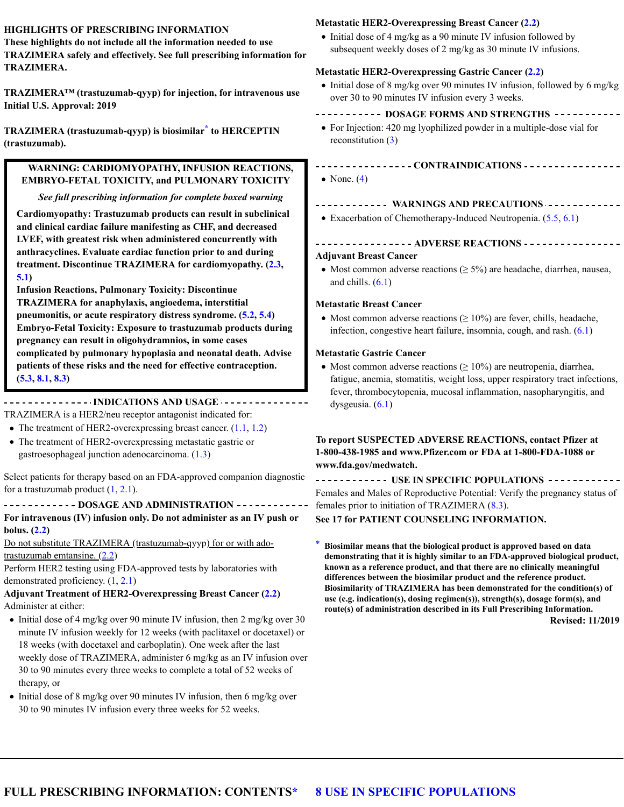#### **HIGHLIGHTS OF PRESCRIBING INFORMATION**

**These highlights do not include all the information needed to use TRAZIMERA safely and effectively. See full prescribing information for TRAZIMERA.**

**TRAZIMERA™ (trastuzumab-qyyp) for injection, for intravenous use Initial U.S. Approval: 2019**

**TRAZIMERA (trastuzumab-qyyp) is biosimilar to HERCEPTIN \* (trastuzumab).**

#### **WARNING: CARDIOMYOPATHY, INFUSION REACTIONS, EMBRYO-FETAL TOXICITY, and PULMONARY TOXICITY**

#### *See full prescribing information for complete boxed warning*

**Cardiomyopathy: Trastuzumab products can result in subclinical and clinical cardiac failure manifesting as CHF, and decreased LVEF, with greatest risk when administered concurrently with anthracyclines. Evaluate cardiac function prior to and during treatment. Discontinue TRAZIMERA for cardiomyopathy. (2.3, 5.1)**

**Infusion Reactions, Pulmonary Toxicity: Discontinue TRAZIMERA for anaphylaxis, angioedema, interstitial pneumonitis, or acute respiratory distress syndrome. (5.2, 5.4) Embryo-Fetal Toxicity: Exposure to trastuzumab products during pregnancy can result in oligohydramnios, in some cases complicated by pulmonary hypoplasia and neonatal death. Advise patients of these risks and the need for effective contraception. (5.3, 8.1, 8.3)**

#### **INDICATIONS AND USAGE**

TRAZIMERA is a HER2/neu receptor antagonist indicated for:

- The treatment of HER2-overexpressing breast cancer.  $(1.1, 1.2)$
- The treatment of HER2-overexpressing metastatic gastric or gastroesophageal junction adenocarcinoma. (1.3)

Select patients for therapy based on an FDA-approved companion diagnostic for a trastuzumab product (1, 2.1).

#### **DOSAGE AND ADMINISTRATION** ------------**For intravenous (IV) infusion only. Do not administer as an IV push or bolus. (2.2)**

Do not substitute TRAZIMERA (trastuzumab-qyyp) for or with adotrastuzumab emtansine. (2.2)

Perform HER2 testing using FDA-approved tests by laboratories with demonstrated proficiency. (1, 2.1)

#### **Adjuvant Treatment of HER2-Overexpressing Breast Cancer (2.2)** Administer at either:

- Initial dose of 4 mg/kg over 90 minute IV infusion, then 2 mg/kg over 30 minute IV infusion weekly for 12 weeks (with paclitaxel or docetaxel) or 18 weeks (with docetaxel and carboplatin). One week after the last weekly dose of TRAZIMERA, administer 6 mg/kg as an IV infusion over 30 to 90 minutes every three weeks to complete a total of 52 weeks of therapy, or
- $\bullet$  Initial dose of 8 mg/kg over 90 minutes IV infusion, then 6 mg/kg over 30 to 90 minutes IV infusion every three weeks for 52 weeks.

#### **Metastatic HER2-Overexpressing Breast Cancer (2.2)**

• Initial dose of 4 mg/kg as a 90 minute IV infusion followed by subsequent weekly doses of 2 mg/kg as 30 minute IV infusions.

#### **Metastatic HER2-Overexpressing Gastric Cancer (2.2)**

 $\bullet$  Initial dose of 8 mg/kg over 90 minutes IV infusion, followed by 6 mg/kg over 30 to 90 minutes IV infusion every 3 weeks.

#### **DOSAGE FORMS AND STRENGTHS** ------

For Injection: 420 mg lyophilized powder in a multiple-dose vial for reconstitution (3)

**CONTRAINDICATIONS**

- None.  $(4)$
- **WARNINGS AND PRECAUTIONS**
- Exacerbation of Chemotherapy-Induced Neutropenia. (5.5, 6.1)

#### **ADVERSE REACTIONS Adjuvant Breast Cancer**

• Most common adverse reactions ( $\geq$  5%) are headache, diarrhea, nausea, and chills.  $(6.1)$ 

#### **Metastatic Breast Cancer**

• Most common adverse reactions ( $\geq 10\%$ ) are fever, chills, headache, infection, congestive heart failure, insomnia, cough, and rash. (6.1)

#### **Metastatic Gastric Cancer**

• Most common adverse reactions ( $\geq 10\%$ ) are neutropenia, diarrhea, fatigue, anemia, stomatitis, weight loss, upper respiratory tract infections, fever, thrombocytopenia, mucosal inflammation, nasopharyngitis, and dysgeusia. (6.1)

#### **To report SUSPECTED ADVERSE REACTIONS, contact Pfizer at 1-800-438-1985 and www.Pfizer.com or FDA at 1-800-FDA-1088 or www.fda.gov/medwatch.**

**THE IN SPECIFIC POPULATIONS** Females and Males of Reproductive Potential: Verify the pregnancy status of females prior to initiation of TRAZIMERA (8.3).

#### **See 17 for PATIENT COUNSELING INFORMATION.**

\* **Biosimilar means that the biological product is approved based on data demonstrating that it is highly similar to an FDA-approved biological product, known as a reference product, and that there are no clinically meaningful differences between the biosimilar product and the reference product. Biosimilarity of TRAZIMERA has been demonstrated for the condition(s) of use (e.g. indication(s), dosing regimen(s)), strength(s), dosage form(s), and route(s) of administration described in its Full Prescribing Information.**

**Revised: 11/2019**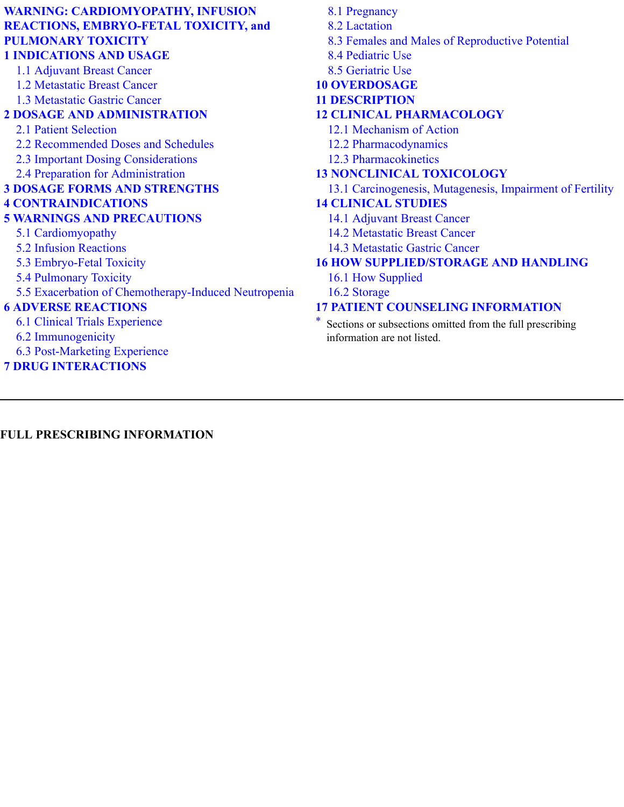# **WARNING: CARDIOMYOPATHY, INFUSION REACTIONS, EMBRYO-FETAL TOXICITY, and PULMONARY TOXICITY**

#### **1 INDICATIONS AND USAGE**

- 1.1 Adjuvant Breast Cancer
- 1.2 Metastatic Breast Cancer
- 1.3 Metastatic Gastric Cancer

#### **2 DOSAGE AND ADMINISTRATION**

- 2.1 Patient Selection
- 2.2 Recommended Doses and Schedules
- 2.3 Important Dosing Considerations
- 2.4 Preparation for Administration

### **3 DOSAGE FORMS AND STRENGTHS**

## **4 CONTRAINDICATIONS**

### **5 WARNINGS AND PRECAUTIONS**

- 5.1 Cardiomyopathy
- 5.2 Infusion Reactions
- 5.3 Embryo-Fetal Toxicity
- 5.4 Pulmonary Toxicity
- 5.5 Exacerbation of Chemotherapy-Induced Neutropenia

# **6 ADVERSE REACTIONS**

- 6.1 Clinical Trials Experience
- 6.2 Immunogenicity
- 6.3 Post-Marketing Experience

# **7 DRUG INTERACTIONS**

8.1 Pregnancy 8.2 Lactation 8.3 Females and Males of Reproductive Potential 8.4 Pediatric Use 8.5 Geriatric Use **10 OVERDOSAGE 11 DESCRIPTION 12 CLINICAL PHARMACOLOGY** 12.1 Mechanism of Action 12.2 Pharmacodynamics 12.3 Pharmacokinetics **13 NONCLINICAL TOXICOLOGY** 13.1 Carcinogenesis, Mutagenesis, Impairment of Fertility **14 CLINICAL STUDIES** 14.1 Adjuvant Breast Cancer 14.2 Metastatic Breast Cancer 14.3 Metastatic Gastric Cancer **16 HOW SUPPLIED/STORAGE AND HANDLING** 16.1 How Supplied 16.2 Storage **17 PATIENT COUNSELING INFORMATION** \* Sections or subsections omitted from the full prescribing information are not listed.

**FULL PRESCRIBING INFORMATION**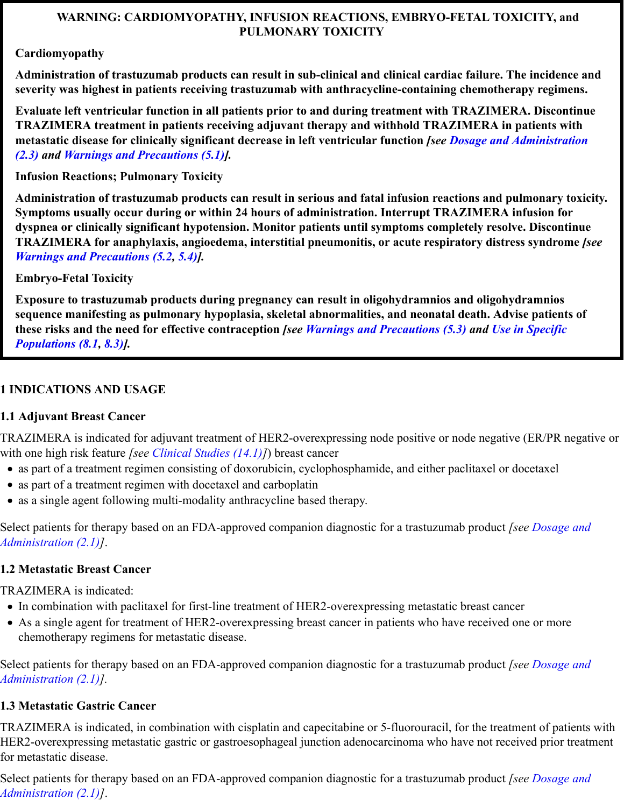### **WARNING: CARDIOMYOPATHY, INFUSION REACTIONS, EMBRYO-FETAL TOXICITY, and PULMONARY TOXICITY**

## **Cardiomyopathy**

**Administration of trastuzumab products can result in sub-clinical and clinical cardiac failure. The incidence and severity was highest in patients receiving trastuzumab with anthracycline-containing chemotherapy regimens.**

**Evaluate left ventricular function in all patients prior to and during treatment with TRAZIMERA. Discontinue TRAZIMERA treatment in patients receiving adjuvant therapy and withhold TRAZIMERA in patients with metastatic disease for clinically significant decrease in left ventricular function** *[see Dosage and Administration (2.3) and Warnings and Precautions (5.1)].*

# **Infusion Reactions; Pulmonary Toxicity**

**Administration of trastuzumab products can result in serious and fatal infusion reactions and pulmonary toxicity. Symptoms usually occur during or within 24 hours of administration. Interrupt TRAZIMERA infusion for dyspnea or clinically significant hypotension. Monitor patients until symptoms completely resolve. Discontinue TRAZIMERA for anaphylaxis, angioedema, interstitial pneumonitis, or acute respiratory distress syndrome** *[see Warnings and Precautions (5.2, 5.4)].*

# **Embryo-Fetal Toxicity**

**Exposure to trastuzumab products during pregnancy can result in oligohydramnios and oligohydramnios sequence manifesting as pulmonary hypoplasia, skeletal abnormalities, and neonatal death. Advise patients of these risks and the need for effective contraception** *[see Warnings and Precautions (5.3) and Use in Specific Populations (8.1, 8.3)].*

# **1 INDICATIONS AND USAGE**

# **1.1 Adjuvant Breast Cancer**

TRAZIMERA is indicated for adjuvant treatment of HER2-overexpressing node positive or node negative (ER/PR negative or with one high risk feature *[see Clinical Studies (14.1)]*) breast cancer

- as part of a treatment regimen consisting of doxorubicin, cyclophosphamide, and either paclitaxel or docetaxel
- as part of a treatment regimen with docetaxel and carboplatin
- as a single agent following multi-modality anthracycline based therapy.

Select patients for therapy based on an FDA-approved companion diagnostic for a trastuzumab product *[see Dosage and Administration (2.1)]*.

# **1.2 Metastatic Breast Cancer**

TRAZIMERA is indicated:

- In combination with paclitaxel for first-line treatment of HER2-overexpressing metastatic breast cancer
- As a single agent for treatment of HER2-overexpressing breast cancer in patients who have received one or more chemotherapy regimens for metastatic disease.

Select patients for therapy based on an FDA-approved companion diagnostic for a trastuzumab product *[see Dosage and Administration (2.1)].*

# **1.3 Metastatic Gastric Cancer**

TRAZIMERA is indicated, in combination with cisplatin and capecitabine or 5-fluorouracil, for the treatment of patients with HER2-overexpressing metastatic gastric or gastroesophageal junction adenocarcinoma who have not received prior treatment for metastatic disease.

Select patients for therapy based on an FDA-approved companion diagnostic for a trastuzumab product *[see Dosage and Administration (2.1)]*.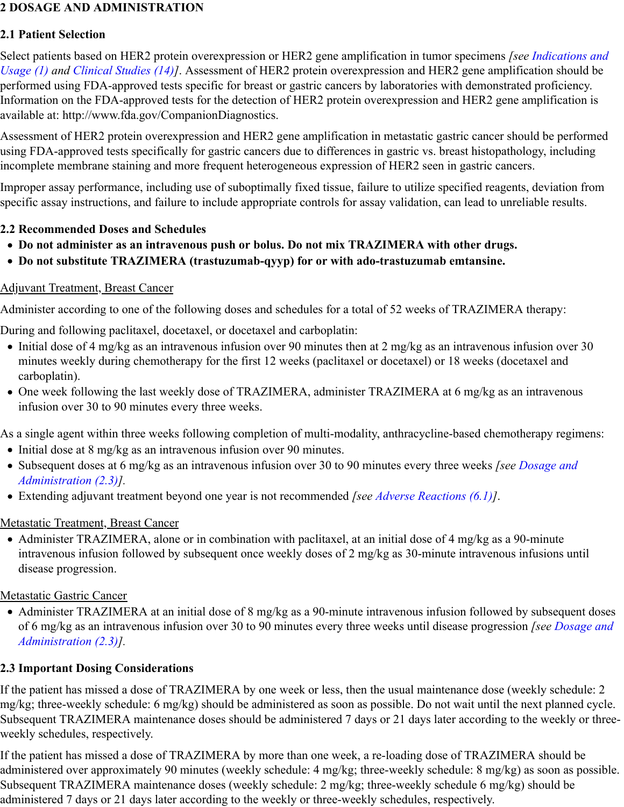### **2 DOSAGE AND ADMINISTRATION**

## **2.1 Patient Selection**

Select patients based on HER2 protein overexpression or HER2 gene amplification in tumor specimens *[see Indications and Usage (1) and Clinical Studies (14)]*. Assessment of HER2 protein overexpression and HER2 gene amplification should be performed using FDA-approved tests specific for breast or gastric cancers by laboratories with demonstrated proficiency. Information on the FDA-approved tests for the detection of HER2 protein overexpression and HER2 gene amplification is available at: http://www.fda.gov/CompanionDiagnostics.

Assessment of HER2 protein overexpression and HER2 gene amplification in metastatic gastric cancer should be performed using FDA-approved tests specifically for gastric cancers due to differences in gastric vs. breast histopathology, including incomplete membrane staining and more frequent heterogeneous expression of HER2 seen in gastric cancers.

Improper assay performance, including use of suboptimally fixed tissue, failure to utilize specified reagents, deviation from specific assay instructions, and failure to include appropriate controls for assay validation, can lead to unreliable results.

# **2.2 Recommended Doses and Schedules**

- **Do not administer as an intravenous push or bolus. Do not mix TRAZIMERA with other drugs.**
- **Do not substitute TRAZIMERA (trastuzumab-qyyp) for or with ado-trastuzumab emtansine.**

# Adjuvant Treatment, Breast Cancer

Administer according to one of the following doses and schedules for a total of 52 weeks of TRAZIMERA therapy:

During and following paclitaxel, docetaxel, or docetaxel and carboplatin:

- Initial dose of 4 mg/kg as an intravenous infusion over 90 minutes then at 2 mg/kg as an intravenous infusion over 30 minutes weekly during chemotherapy for the first 12 weeks (paclitaxel or docetaxel) or 18 weeks (docetaxel and carboplatin).
- One week following the last weekly dose of TRAZIMERA, administer TRAZIMERA at 6 mg/kg as an intravenous infusion over 30 to 90 minutes every three weeks.

As a single agent within three weeks following completion of multi-modality, anthracycline-based chemotherapy regimens:

- Initial dose at 8 mg/kg as an intravenous infusion over 90 minutes.
- Subsequent doses at 6 mg/kg as an intravenous infusion over 30 to 90 minutes every three weeks *[see Dosage and Administration (2.3)].*
- Extending adjuvant treatment beyond one year is not recommended *[see Adverse Reactions (6.1)]*.

# Metastatic Treatment, Breast Cancer

• Administer TRAZIMERA, alone or in combination with paclitaxel, at an initial dose of 4 mg/kg as a 90-minute intravenous infusion followed by subsequent once weekly doses of 2 mg/kg as 30-minute intravenous infusions until disease progression.

# Metastatic Gastric Cancer

Administer TRAZIMERA at an initial dose of 8 mg/kg as a 90-minute intravenous infusion followed by subsequent doses of 6 mg/kg as an intravenous infusion over 30 to 90 minutes every three weeks until disease progression *[see Dosage and Administration (2.3)].*

# **2.3 Important Dosing Considerations**

If the patient has missed a dose of TRAZIMERA by one week or less, then the usual maintenance dose (weekly schedule: 2 mg/kg; three-weekly schedule: 6 mg/kg) should be administered as soon as possible. Do not wait until the next planned cycle. Subsequent TRAZIMERA maintenance doses should be administered 7 days or 21 days later according to the weekly or threeweekly schedules, respectively.

If the patient has missed a dose of TRAZIMERA by more than one week, a re-loading dose of TRAZIMERA should be administered over approximately 90 minutes (weekly schedule: 4 mg/kg; three-weekly schedule: 8 mg/kg) as soon as possible. Subsequent TRAZIMERA maintenance doses (weekly schedule: 2 mg/kg; three-weekly schedule 6 mg/kg) should be administered 7 days or 21 days later according to the weekly or three-weekly schedules, respectively.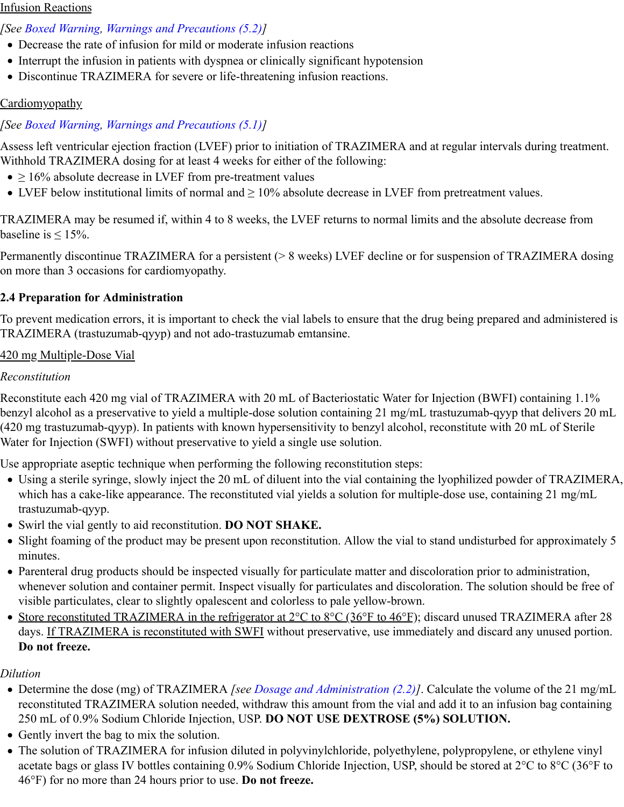#### Infusion Reactions

# *[See Boxed Warning, Warnings and Precautions (5.2)]*

- Decrease the rate of infusion for mild or moderate infusion reactions
- Interrupt the infusion in patients with dyspnea or clinically significant hypotension
- Discontinue TRAZIMERA for severe or life-threatening infusion reactions.

# Cardiomyopathy

# *[See Boxed Warning, Warnings and Precautions (5.1)]*

Assess left ventricular ejection fraction (LVEF) prior to initiation of TRAZIMERA and at regular intervals during treatment. Withhold TRAZIMERA dosing for at least 4 weeks for either of the following:

- $\bullet \geq 16\%$  absolute decrease in LVEF from pre-treatment values
- LVEF below institutional limits of normal and ≥ 10% absolute decrease in LVEF from pretreatment values.

TRAZIMERA may be resumed if, within 4 to 8 weeks, the LVEF returns to normal limits and the absolute decrease from baseline is  $\leq 15\%$ .

Permanently discontinue TRAZIMERA for a persistent (> 8 weeks) LVEF decline or for suspension of TRAZIMERA dosing on more than 3 occasions for cardiomyopathy.

# **2.4 Preparation for Administration**

To prevent medication errors, it is important to check the vial labels to ensure that the drug being prepared and administered is TRAZIMERA (trastuzumab-qyyp) and not ado-trastuzumab emtansine.

## 420 mg Multiple-Dose Vial

## *Reconstitution*

Reconstitute each 420 mg vial of TRAZIMERA with 20 mL of Bacteriostatic Water for Injection (BWFI) containing 1.1% benzyl alcohol as a preservative to yield a multiple-dose solution containing 21 mg/mL trastuzumab-qyyp that delivers 20 mL (420 mg trastuzumab-qyyp). In patients with known hypersensitivity to benzyl alcohol, reconstitute with 20 mL of Sterile Water for Injection (SWFI) without preservative to yield a single use solution.

Use appropriate aseptic technique when performing the following reconstitution steps:

- Using a sterile syringe, slowly inject the 20 mL of diluent into the vial containing the lyophilized powder of TRAZIMERA, which has a cake-like appearance. The reconstituted vial yields a solution for multiple-dose use, containing 21 mg/mL trastuzumab-qyyp.
- Swirl the vial gently to aid reconstitution. **DO NOT SHAKE.**
- Slight foaming of the product may be present upon reconstitution. Allow the vial to stand undisturbed for approximately 5 minutes.
- Parenteral drug products should be inspected visually for particulate matter and discoloration prior to administration, whenever solution and container permit. Inspect visually for particulates and discoloration. The solution should be free of visible particulates, clear to slightly opalescent and colorless to pale yellow-brown.
- Store reconstituted TRAZIMERA in the refrigerator at  $2^{\circ}C$  to  $8^{\circ}C$  (36°F to 46°F); discard unused TRAZIMERA after 28 days. If TRAZIMERA is reconstituted with SWFI without preservative, use immediately and discard any unused portion. **Do not freeze.**

# *Dilution*

- Determine the dose (mg) of TRAZIMERA *[see Dosage and Administration (2.2)]*. Calculate the volume of the 21 mg/mL reconstituted TRAZIMERA solution needed, withdraw this amount from the vial and add it to an infusion bag containing 250 mL of 0.9% Sodium Chloride Injection, USP. **DO NOT USE DEXTROSE (5%) SOLUTION.**
- Gently invert the bag to mix the solution.
- The solution of TRAZIMERA for infusion diluted in polyvinylchloride, polyethylene, polypropylene, or ethylene vinyl acetate bags or glass IV bottles containing 0.9% Sodium Chloride Injection, USP, should be stored at 2°C to 8°C (36°F to 46°F) for no more than 24 hours prior to use. **Do not freeze.**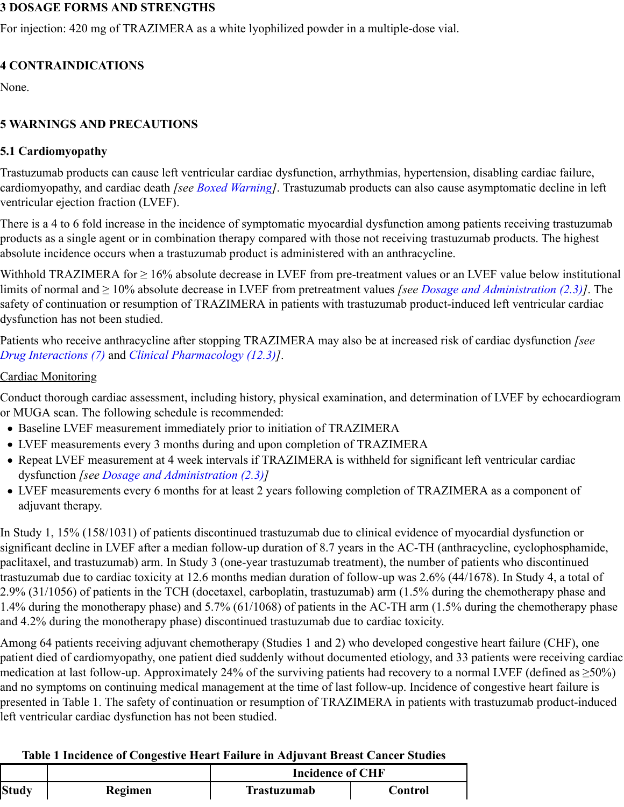#### **3 DOSAGE FORMS AND STRENGTHS**

For injection: 420 mg of TRAZIMERA as a white lyophilized powder in a multiple-dose vial.

# **4 CONTRAINDICATIONS**

None.

# **5 WARNINGS AND PRECAUTIONS**

# **5.1 Cardiomyopathy**

Trastuzumab products can cause left ventricular cardiac dysfunction, arrhythmias, hypertension, disabling cardiac failure, cardiomyopathy, and cardiac death *[see Boxed Warning]*. Trastuzumab products can also cause asymptomatic decline in left ventricular ejection fraction (LVEF).

There is a 4 to 6 fold increase in the incidence of symptomatic myocardial dysfunction among patients receiving trastuzumab products as a single agent or in combination therapy compared with those not receiving trastuzumab products. The highest absolute incidence occurs when a trastuzumab product is administered with an anthracycline.

Withhold TRAZIMERA for  $\geq 16\%$  absolute decrease in LVEF from pre-treatment values or an LVEF value below institutional limits of normal and ≥ 10% absolute decrease in LVEF from pretreatment values *[see Dosage and Administration (2.3)]*. The safety of continuation or resumption of TRAZIMERA in patients with trastuzumab product-induced left ventricular cardiac dysfunction has not been studied.

Patients who receive anthracycline after stopping TRAZIMERA may also be at increased risk of cardiac dysfunction *[see Drug Interactions (7)* and *Clinical Pharmacology (12.3)]*.

## Cardiac Monitoring

Conduct thorough cardiac assessment, including history, physical examination, and determination of LVEF by echocardiogram or MUGA scan. The following schedule is recommended:

- Baseline LVEF measurement immediately prior to initiation of TRAZIMERA
- LVEF measurements every 3 months during and upon completion of TRAZIMERA
- Repeat LVEF measurement at 4 week intervals if TRAZIMERA is withheld for significant left ventricular cardiac dysfunction *[see Dosage and Administration (2.3)]*
- LVEF measurements every 6 months for at least 2 years following completion of TRAZIMERA as a component of adjuvant therapy.

In Study 1, 15% (158/1031) of patients discontinued trastuzumab due to clinical evidence of myocardial dysfunction or significant decline in LVEF after a median follow-up duration of 8.7 years in the AC-TH (anthracycline, cyclophosphamide, paclitaxel, and trastuzumab) arm. In Study 3 (one-year trastuzumab treatment), the number of patients who discontinued trastuzumab due to cardiac toxicity at 12.6 months median duration of follow-up was 2.6% (44/1678). In Study 4, a total of 2.9% (31/1056) of patients in the TCH (docetaxel, carboplatin, trastuzumab) arm (1.5% during the chemotherapy phase and 1.4% during the monotherapy phase) and 5.7% (61/1068) of patients in the AC-TH arm (1.5% during the chemotherapy phase and 4.2% during the monotherapy phase) discontinued trastuzumab due to cardiac toxicity.

Among 64 patients receiving adjuvant chemotherapy (Studies 1 and 2) who developed congestive heart failure (CHF), one patient died of cardiomyopathy, one patient died suddenly without documented etiology, and 33 patients were receiving cardiac medication at last follow-up. Approximately 24% of the surviving patients had recovery to a normal LVEF (defined as  $\geq 50\%$ ) and no symptoms on continuing medical management at the time of last follow-up. Incidence of congestive heart failure is presented in Table 1. The safety of continuation or resumption of TRAZIMERA in patients with trastuzumab product-induced left ventricular cardiac dysfunction has not been studied.

### **Table 1 Incidence of Congestive Heart Failure in Adjuvant Breast Cancer Studies**

|              |         | <b>Incidence of CHF</b> |         |  |  |
|--------------|---------|-------------------------|---------|--|--|
| <b>Study</b> | Regimen | <b>Trastuzumab</b>      | Control |  |  |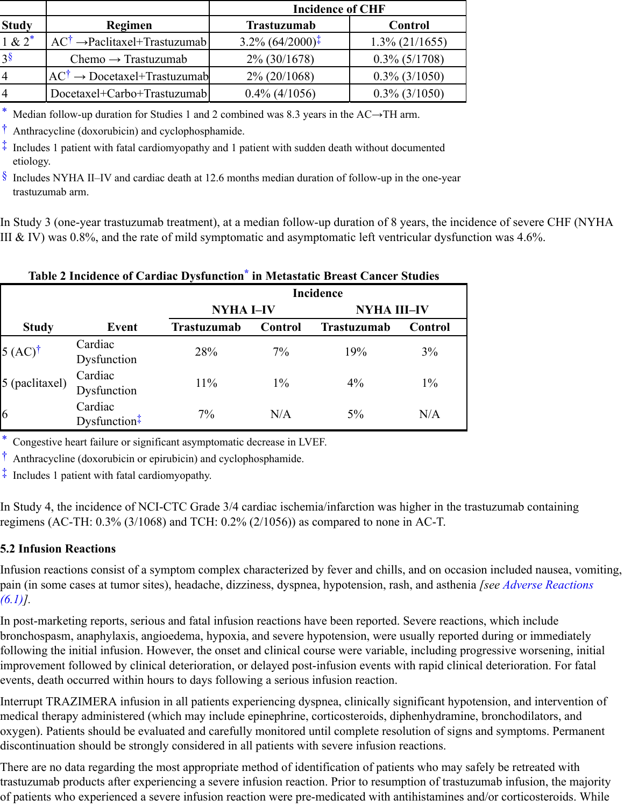|                |                                                   | <b>Incidence of CHF</b>      |                   |  |  |  |
|----------------|---------------------------------------------------|------------------------------|-------------------|--|--|--|
| <b>Study</b>   | Regimen                                           | <b>Trastuzumab</b>           | Control           |  |  |  |
| $1 & 2^*$      | $AC^{\dagger} \rightarrow$ Paclitaxel+Trastuzumab | $3.2\% (64/2000)^{\ddagger}$ | $1.3\%$ (21/1655) |  |  |  |
| $3\bar{\S}$    | Chemo $\rightarrow$ Trastuzumab                   | $2\%$ (30/1678)              | $0.3\%$ (5/1708)  |  |  |  |
| $\overline{4}$ | $AC^{\dagger} \rightarrow Docetaxel+Trastuzumab$  | $2\% (20/1068)$              | $0.3\%$ (3/1050)  |  |  |  |
| $\overline{4}$ | Docetaxel+Carbo+Trastuzumab                       | $0.4\%$ (4/1056)             | $0.3\%$ (3/1050)  |  |  |  |

\* Median follow-up duration for Studies 1 and 2 combined was 8.3 years in the AC→TH arm.

† Anthracycline (doxorubicin) and cyclophosphamide.

‡ Includes 1 patient with fatal cardiomyopathy and 1 patient with sudden death without documented etiology.

§ Includes NYHA II–IV and cardiac death at 12.6 months median duration of follow-up in the one-year trastuzumab arm.

In Study 3 (one-year trastuzumab treatment), at a median follow-up duration of 8 years, the incidence of severe CHF (NYHA III & IV) was 0.8%, and the rate of mild symptomatic and asymptomatic left ventricular dysfunction was 4.6%.

| Table 2 Incidence of Cardiac Dysfunction in Metastatic Breast Cancer Studies |                                   |                    |         |                    |                |  |  |
|------------------------------------------------------------------------------|-----------------------------------|--------------------|---------|--------------------|----------------|--|--|
|                                                                              |                                   | <b>Incidence</b>   |         |                    |                |  |  |
|                                                                              |                                   | <b>NYHA I–IV</b>   |         | NYHA III–IV        |                |  |  |
| <b>Study</b>                                                                 | <b>Event</b>                      | <b>Trastuzumab</b> | Control | <b>Trastuzumab</b> | <b>Control</b> |  |  |
| 5 (AC) <sup>†</sup>                                                          | Cardiac<br>Dysfunction            | 28%                | 7%      | 19%                | 3%             |  |  |
| 5 (paclitaxel)                                                               | Cardiac<br>Dysfunction            | 11%                | $1\%$   | 4%                 | $1\%$          |  |  |
| 6                                                                            | Cardiac<br>Dysfunction $\ddagger$ | 7%                 | N/A     | 5%                 | N/A            |  |  |

**Table 2 Incidence of Cardiac Dysfunction\* in Metastatic Breast Cancer Studies \***

\* Congestive heart failure or significant asymptomatic decrease in LVEF.

† Anthracycline (doxorubicin or epirubicin) and cyclophosphamide.

‡ Includes 1 patient with fatal cardiomyopathy.

In Study 4, the incidence of NCI-CTC Grade 3/4 cardiac ischemia/infarction was higher in the trastuzumab containing regimens (AC-TH:  $0.3\%$  (3/1068) and TCH:  $0.2\%$  (2/1056)) as compared to none in AC-T.

# **5.2 Infusion Reactions**

Infusion reactions consist of a symptom complex characterized by fever and chills, and on occasion included nausea, vomiting, pain (in some cases at tumor sites), headache, dizziness, dyspnea, hypotension, rash, and asthenia *[see Adverse Reactions (6.1)].*

In post-marketing reports, serious and fatal infusion reactions have been reported. Severe reactions, which include bronchospasm, anaphylaxis, angioedema, hypoxia, and severe hypotension, were usually reported during or immediately following the initial infusion. However, the onset and clinical course were variable, including progressive worsening, initial improvement followed by clinical deterioration, or delayed post-infusion events with rapid clinical deterioration. For fatal events, death occurred within hours to days following a serious infusion reaction.

Interrupt TRAZIMERA infusion in all patients experiencing dyspnea, clinically significant hypotension, and intervention of medical therapy administered (which may include epinephrine, corticosteroids, diphenhydramine, bronchodilators, and oxygen). Patients should be evaluated and carefully monitored until complete resolution of signs and symptoms. Permanent discontinuation should be strongly considered in all patients with severe infusion reactions.

There are no data regarding the most appropriate method of identification of patients who may safely be retreated with trastuzumab products after experiencing a severe infusion reaction. Prior to resumption of trastuzumab infusion, the majority of patients who experienced a severe infusion reaction were pre-medicated with antihistamines and/or corticosteroids. While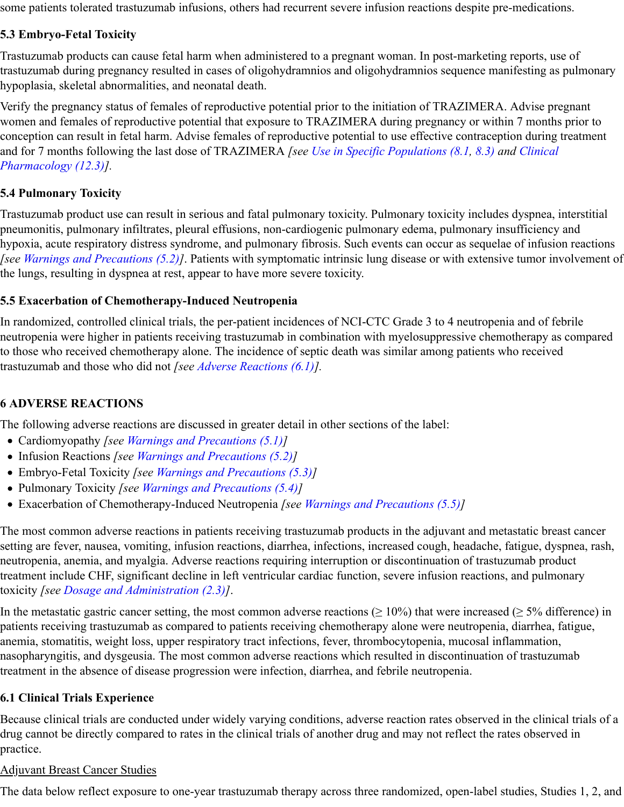some patients tolerated trastuzumab infusions, others had recurrent severe infusion reactions despite pre-medications.

## **5.3 Embryo-Fetal Toxicity**

Trastuzumab products can cause fetal harm when administered to a pregnant woman. In post-marketing reports, use of trastuzumab during pregnancy resulted in cases of oligohydramnios and oligohydramnios sequence manifesting as pulmonary hypoplasia, skeletal abnormalities, and neonatal death.

Verify the pregnancy status of females of reproductive potential prior to the initiation of TRAZIMERA. Advise pregnant women and females of reproductive potential that exposure to TRAZIMERA during pregnancy or within 7 months prior to conception can result in fetal harm. Advise females of reproductive potential to use effective contraception during treatment and for 7 months following the last dose of TRAZIMERA *[see Use in Specific Populations (8.1, 8.3) and Clinical Pharmacology (12.3)].*

# **5.4 Pulmonary Toxicity**

Trastuzumab product use can result in serious and fatal pulmonary toxicity. Pulmonary toxicity includes dyspnea, interstitial pneumonitis, pulmonary infiltrates, pleural effusions, non-cardiogenic pulmonary edema, pulmonary insufficiency and hypoxia, acute respiratory distress syndrome, and pulmonary fibrosis. Such events can occur as sequelae of infusion reactions *[see Warnings and Precautions (5.2)]*. Patients with symptomatic intrinsic lung disease or with extensive tumor involvement of the lungs, resulting in dyspnea at rest, appear to have more severe toxicity.

# **5.5 Exacerbation of Chemotherapy-Induced Neutropenia**

In randomized, controlled clinical trials, the per-patient incidences of NCI-CTC Grade 3 to 4 neutropenia and of febrile neutropenia were higher in patients receiving trastuzumab in combination with myelosuppressive chemotherapy as compared to those who received chemotherapy alone. The incidence of septic death was similar among patients who received trastuzumab and those who did not *[see Adverse Reactions (6.1)].*

# **6 ADVERSE REACTIONS**

The following adverse reactions are discussed in greater detail in other sections of the label:

- Cardiomyopathy *[see Warnings and Precautions (5.1)]*
- Infusion Reactions *[see Warnings and Precautions (5.2)]*
- Embryo-Fetal Toxicity *[see Warnings and Precautions (5.3)]*
- Pulmonary Toxicity *[see Warnings and Precautions (5.4)]*
- Exacerbation of Chemotherapy-Induced Neutropenia *[see Warnings and Precautions (5.5)]*

The most common adverse reactions in patients receiving trastuzumab products in the adjuvant and metastatic breast cancer setting are fever, nausea, vomiting, infusion reactions, diarrhea, infections, increased cough, headache, fatigue, dyspnea, rash, neutropenia, anemia, and myalgia. Adverse reactions requiring interruption or discontinuation of trastuzumab product treatment include CHF, significant decline in left ventricular cardiac function, severe infusion reactions, and pulmonary toxicity *[see Dosage and Administration (2.3)]*.

In the metastatic gastric cancer setting, the most common adverse reactions ( $\geq 10\%$ ) that were increased ( $\geq 5\%$  difference) in patients receiving trastuzumab as compared to patients receiving chemotherapy alone were neutropenia, diarrhea, fatigue, anemia, stomatitis, weight loss, upper respiratory tract infections, fever, thrombocytopenia, mucosal inflammation, nasopharyngitis, and dysgeusia. The most common adverse reactions which resulted in discontinuation of trastuzumab treatment in the absence of disease progression were infection, diarrhea, and febrile neutropenia.

# **6.1 Clinical Trials Experience**

Because clinical trials are conducted under widely varying conditions, adverse reaction rates observed in the clinical trials of a drug cannot be directly compared to rates in the clinical trials of another drug and may not reflect the rates observed in practice.

# Adjuvant Breast Cancer Studies

The data below reflect exposure to one-year trastuzumab therapy across three randomized, open-label studies, Studies 1, 2, and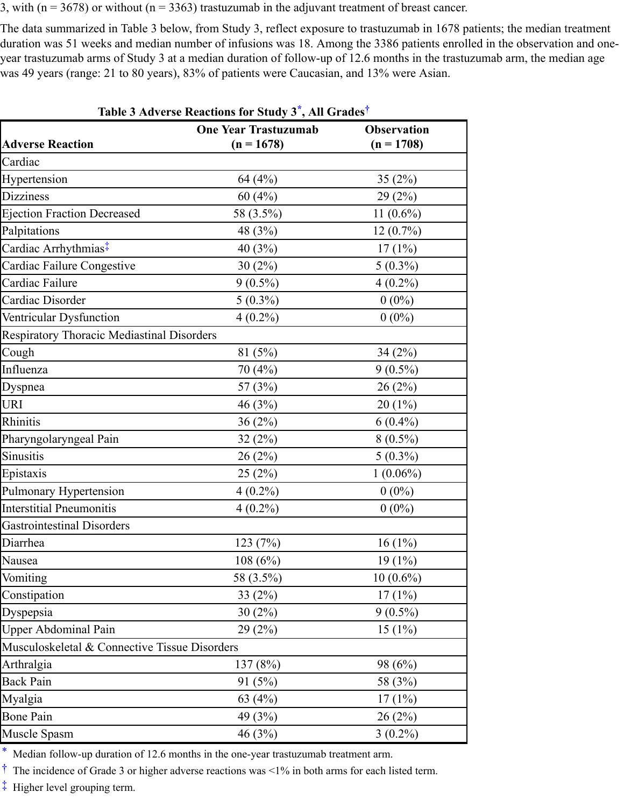3, with ( $n = 3678$ ) or without ( $n = 3363$ ) trastuzumab in the adjuvant treatment of breast cancer.

The data summarized in Table 3 below, from Study 3, reflect exposure to trastuzumab in 1678 patients; the median treatment duration was 51 weeks and median number of infusions was 18. Among the 3386 patients enrolled in the observation and oneyear trastuzumab arms of Study 3 at a median duration of follow-up of 12.6 months in the trastuzumab arm, the median age was 49 years (range: 21 to 80 years), 83% of patients were Caucasian, and 13% were Asian.

| Table 3 Adverse Reactions for Study 3 <sup>*</sup> , All Grades <sup>†</sup> |                             |                    |  |  |  |  |
|------------------------------------------------------------------------------|-----------------------------|--------------------|--|--|--|--|
|                                                                              | <b>One Year Trastuzumab</b> | <b>Observation</b> |  |  |  |  |
| <b>Adverse Reaction</b>                                                      | $(n = 1678)$                | $(n = 1708)$       |  |  |  |  |
| Cardiac                                                                      |                             |                    |  |  |  |  |
| Hypertension                                                                 | 64(4%)                      | 35(2%)             |  |  |  |  |
| <b>Dizziness</b>                                                             | 60(4%)                      | 29(2%)             |  |  |  |  |
| <b>Ejection Fraction Decreased</b>                                           | 58 (3.5%)                   | $11(0.6\%)$        |  |  |  |  |
| Palpitations                                                                 | 48 (3%)                     | $12(0.7\%)$        |  |  |  |  |
| Cardiac Arrhythmias <sup>‡</sup>                                             | 40 (3%)                     | 17(1%)             |  |  |  |  |
| Cardiac Failure Congestive                                                   | 30(2%)                      | $5(0.3\%)$         |  |  |  |  |
| Cardiac Failure                                                              | $9(0.5\%)$                  | $4(0.2\%)$         |  |  |  |  |
| Cardiac Disorder                                                             | $5(0.3\%)$                  | $0(0\%)$           |  |  |  |  |
| Ventricular Dysfunction                                                      | $4(0.2\%)$                  | $0(0\%)$           |  |  |  |  |
| Respiratory Thoracic Mediastinal Disorders                                   |                             |                    |  |  |  |  |
| Cough                                                                        | 81(5%)                      | 34(2%)             |  |  |  |  |
| Influenza                                                                    | 70 (4%)                     | $9(0.5\%)$         |  |  |  |  |
| Dyspnea                                                                      | 57 $(3%)$                   | 26(2%)             |  |  |  |  |
| <b>URI</b>                                                                   | 46 (3%)                     | $20(1\%)$          |  |  |  |  |
| Rhinitis                                                                     | 36(2%)                      | $6(0.4\%)$         |  |  |  |  |
| Pharyngolaryngeal Pain                                                       | 32(2%)                      | $8(0.5\%)$         |  |  |  |  |
| Sinusitis                                                                    | 26(2%)                      | $5(0.3\%)$         |  |  |  |  |
| Epistaxis                                                                    | 25(2%)                      | $1(0.06\%)$        |  |  |  |  |
| Pulmonary Hypertension                                                       | $4(0.2\%)$                  | $0(0\%)$           |  |  |  |  |
| <b>Interstitial Pneumonitis</b>                                              | $4(0.2\%)$                  | $0(0\%)$           |  |  |  |  |
| <b>Gastrointestinal Disorders</b>                                            |                             |                    |  |  |  |  |
| Diarrhea                                                                     | 123 (7%)                    | $16(1\%)$          |  |  |  |  |
| Nausea                                                                       | 108 (6%)                    | $19(1\%)$          |  |  |  |  |
| Vomiting                                                                     | 58 (3.5%)                   | $10(0.6\%)$        |  |  |  |  |
| Constipation                                                                 | 33 $(2%)$                   | $17(1\%)$          |  |  |  |  |
| Dyspepsia                                                                    | 30(2%)                      | $9(0.5\%)$         |  |  |  |  |
| <b>Upper Abdominal Pain</b>                                                  | 29(2%)                      | $15(1\%)$          |  |  |  |  |
| Musculoskeletal & Connective Tissue Disorders                                |                             |                    |  |  |  |  |
| Arthralgia                                                                   | 137(8%)                     | 98 (6%)            |  |  |  |  |
| <b>Back Pain</b>                                                             | 91(5%)                      | 58 (3%)            |  |  |  |  |
| Myalgia                                                                      | 63 (4%)                     | 17(1%)             |  |  |  |  |
| <b>Bone Pain</b>                                                             | 49 (3%)                     | 26(2%)             |  |  |  |  |
| Muscle Spasm                                                                 | 46 (3%)                     | $3(0.2\%)$         |  |  |  |  |

\*

Median follow-up duration of 12.6 months in the one-year trastuzumab treatment arm.

 $\dagger$  The incidence of Grade 3 or higher adverse reactions was <1% in both arms for each listed term.

‡ Higher level grouping term.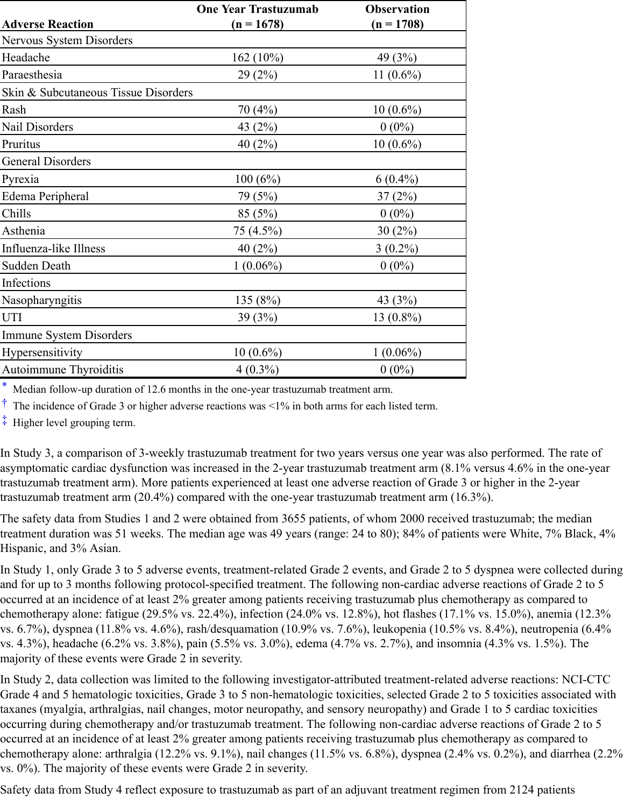|                                      | <b>One Year Trastuzumab</b> | <b>Observation</b> |
|--------------------------------------|-----------------------------|--------------------|
| <b>Adverse Reaction</b>              | $(n = 1678)$                | $(n = 1708)$       |
| Nervous System Disorders             |                             |                    |
| Headache                             | $162(10\%)$                 | 49 (3%)            |
| Paraesthesia                         | 29(2%)                      | 11 $(0.6\%)$       |
| Skin & Subcutaneous Tissue Disorders |                             |                    |
| Rash                                 | 70 (4%)                     | $10(0.6\%)$        |
| Nail Disorders                       | 43 (2%)                     | $0(0\%)$           |
| Pruritus                             | 40(2%)                      | $10(0.6\%)$        |
| <b>General Disorders</b>             |                             |                    |
| Pyrexia                              | 100(6%)                     | $6(0.4\%)$         |
| Edema Peripheral                     | 79 (5%)                     | 37(2%)             |
| Chills                               | 85 (5%)                     | $0(0\%)$           |
| Asthenia                             | 75 (4.5%)                   | 30(2%)             |
| Influenza-like Illness               | 40(2%)                      | $3(0.2\%)$         |
| Sudden Death                         | $1(0.06\%)$                 | $0(0\%)$           |
| Infections                           |                             |                    |
| Nasopharyngitis                      | 135 (8%)                    | 43 (3%)            |
| <b>UTI</b>                           | 39 (3%)                     | $13(0.8\%)$        |
| <b>Immune System Disorders</b>       |                             |                    |
| Hypersensitivity                     | $10(0.6\%)$                 | $1(0.06\%)$        |
| Autoimmune Thyroiditis               | $4(0.3\%)$                  | $0(0\%)$           |

\* Median follow-up duration of 12.6 months in the one-year trastuzumab treatment arm.

 $\dagger$  The incidence of Grade 3 or higher adverse reactions was <1% in both arms for each listed term.

‡ Higher level grouping term.

In Study 3, a comparison of 3-weekly trastuzumab treatment for two years versus one year was also performed. The rate of asymptomatic cardiac dysfunction was increased in the 2-year trastuzumab treatment arm (8.1% versus 4.6% in the one-year trastuzumab treatment arm). More patients experienced at least one adverse reaction of Grade 3 or higher in the 2-year trastuzumab treatment arm (20.4%) compared with the one-year trastuzumab treatment arm (16.3%).

The safety data from Studies 1 and 2 were obtained from 3655 patients, of whom 2000 received trastuzumab; the median treatment duration was 51 weeks. The median age was 49 years (range: 24 to 80); 84% of patients were White, 7% Black, 4% Hispanic, and 3% Asian.

In Study 1, only Grade 3 to 5 adverse events, treatment-related Grade 2 events, and Grade 2 to 5 dyspnea were collected during and for up to 3 months following protocol-specified treatment. The following non-cardiac adverse reactions of Grade 2 to 5 occurred at an incidence of at least 2% greater among patients receiving trastuzumab plus chemotherapy as compared to chemotherapy alone: fatigue (29.5% vs. 22.4%), infection (24.0% vs. 12.8%), hot flashes (17.1% vs. 15.0%), anemia (12.3% vs. 6.7%), dyspnea (11.8% vs. 4.6%), rash/desquamation (10.9% vs. 7.6%), leukopenia (10.5% vs. 8.4%), neutropenia (6.4% vs. 4.3%), headache (6.2% vs. 3.8%), pain (5.5% vs. 3.0%), edema (4.7% vs. 2.7%), and insomnia (4.3% vs. 1.5%). The majority of these events were Grade 2 in severity.

In Study 2, data collection was limited to the following investigator-attributed treatment-related adverse reactions: NCI-CTC Grade 4 and 5 hematologic toxicities, Grade 3 to 5 non-hematologic toxicities, selected Grade 2 to 5 toxicities associated with taxanes (myalgia, arthralgias, nail changes, motor neuropathy, and sensory neuropathy) and Grade 1 to 5 cardiac toxicities occurring during chemotherapy and/or trastuzumab treatment. The following non-cardiac adverse reactions of Grade 2 to 5 occurred at an incidence of at least 2% greater among patients receiving trastuzumab plus chemotherapy as compared to chemotherapy alone: arthralgia (12.2% vs. 9.1%), nail changes (11.5% vs. 6.8%), dyspnea (2.4% vs. 0.2%), and diarrhea (2.2% vs. 0%). The majority of these events were Grade 2 in severity.

Safety data from Study 4 reflect exposure to trastuzumab as part of an adjuvant treatment regimen from 2124 patients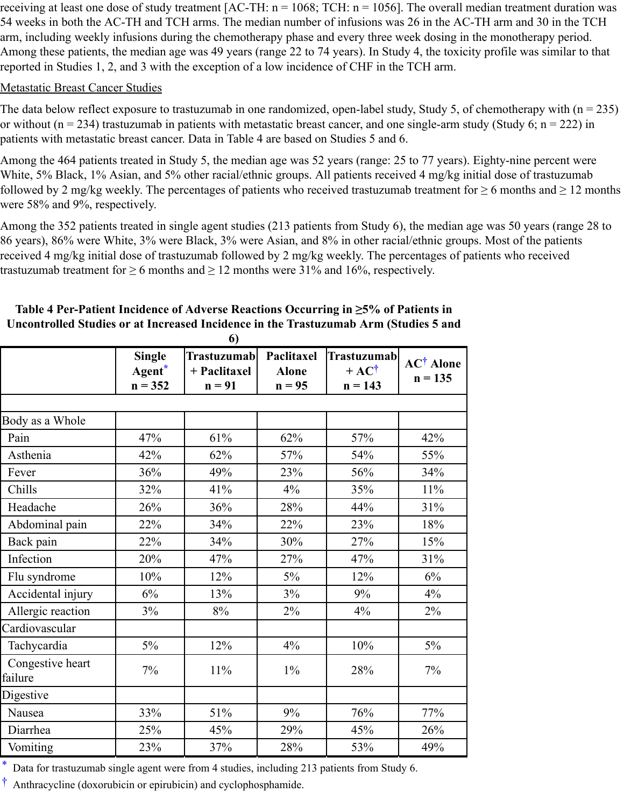receiving at least one dose of study treatment [AC-TH: n = 1068; TCH: n = 1056]. The overall median treatment duration was 54 weeks in both the AC-TH and TCH arms. The median number of infusions was 26 in the AC-TH arm and 30 in the TCH arm, including weekly infusions during the chemotherapy phase and every three week dosing in the monotherapy period. Among these patients, the median age was 49 years (range 22 to 74 years). In Study 4, the toxicity profile was similar to that reported in Studies 1, 2, and 3 with the exception of a low incidence of CHF in the TCH arm.

### Metastatic Breast Cancer Studies

The data below reflect exposure to trastuzumab in one randomized, open-label study, Study 5, of chemotherapy with  $(n = 235)$ or without ( $n = 234$ ) trastuzumab in patients with metastatic breast cancer, and one single-arm study (Study 6;  $n = 222$ ) in patients with metastatic breast cancer. Data in Table 4 are based on Studies 5 and 6.

Among the 464 patients treated in Study 5, the median age was 52 years (range: 25 to 77 years). Eighty-nine percent were White, 5% Black, 1% Asian, and 5% other racial/ethnic groups. All patients received 4 mg/kg initial dose of trastuzumab followed by 2 mg/kg weekly. The percentages of patients who received trastuzumab treatment for  $\geq 6$  months and  $\geq 12$  months were 58% and 9%, respectively.

Among the 352 patients treated in single agent studies (213 patients from Study 6), the median age was 50 years (range 28 to 86 years), 86% were White, 3% were Black, 3% were Asian, and 8% in other racial/ethnic groups. Most of the patients received 4 mg/kg initial dose of trastuzumab followed by 2 mg/kg weekly. The percentages of patients who received trastuzumab treatment for  $\geq 6$  months and  $\geq 12$  months were 31% and 16%, respectively.

|                             |                                      | 6                                       |                                        |                                                     |                                   |
|-----------------------------|--------------------------------------|-----------------------------------------|----------------------------------------|-----------------------------------------------------|-----------------------------------|
|                             | <b>Single</b><br>Agent*<br>$n = 352$ | Trastuzumab<br>+ Paclitaxel<br>$n = 91$ | Paclitaxel<br><b>Alone</b><br>$n = 95$ | <b>Trastuzumab</b><br>$+ AC^{\dagger}$<br>$n = 143$ | $AC^{\dagger}$ Alone<br>$n = 135$ |
|                             |                                      |                                         |                                        |                                                     |                                   |
| Body as a Whole             |                                      |                                         |                                        |                                                     |                                   |
| Pain                        | 47%                                  | 61%                                     | 62%                                    | 57%                                                 | 42%                               |
| Asthenia                    | 42%                                  | 62%                                     | 57%                                    | 54%                                                 | 55%                               |
| Fever                       | 36%                                  | 49%                                     | 23%                                    | 56%                                                 | 34%                               |
| Chills                      | 32%                                  | 41%                                     | 4%                                     | 35%                                                 | 11%                               |
| Headache                    | 26%                                  | 36%                                     | 28%                                    | 44%                                                 | 31%                               |
| Abdominal pain              | 22%                                  | 34%                                     | 22%                                    | 23%                                                 | 18%                               |
| Back pain                   | 22%                                  | 34%                                     | 30%                                    | 27%                                                 | 15%                               |
| Infection                   | 20%                                  | 47%                                     | 27%                                    | 47%                                                 | 31%                               |
| Flu syndrome                | 10%                                  | 12%                                     | 5%                                     | 12%                                                 | 6%                                |
| Accidental injury           | 6%                                   | 13%                                     | 3%                                     | 9%                                                  | 4%                                |
| Allergic reaction           | 3%                                   | $8\%$                                   | $2\%$                                  | 4%                                                  | 2%                                |
| Cardiovascular              |                                      |                                         |                                        |                                                     |                                   |
| Tachycardia                 | 5%                                   | 12%                                     | 4%                                     | 10%                                                 | 5%                                |
| Congestive heart<br>failure | 7%                                   | 11%                                     | $1\%$                                  | 28%                                                 | 7%                                |
| Digestive                   |                                      |                                         |                                        |                                                     |                                   |
| Nausea                      | 33%                                  | 51%                                     | 9%                                     | 76%                                                 | 77%                               |
| Diarrhea                    | 25%                                  | 45%                                     | 29%                                    | 45%                                                 | 26%                               |
| Vomiting                    | 23%                                  | 37%                                     | 28%                                    | 53%                                                 | 49%                               |

# **Table 4 Per-Patient Incidence of Adverse Reactions Occurring in ≥5% of Patients in Uncontrolled Studies or at Increased Incidence in the Trastuzumab Arm (Studies 5 and**

\* Data for trastuzumab single agent were from 4 studies, including 213 patients from Study 6.

† Anthracycline (doxorubicin or epirubicin) and cyclophosphamide.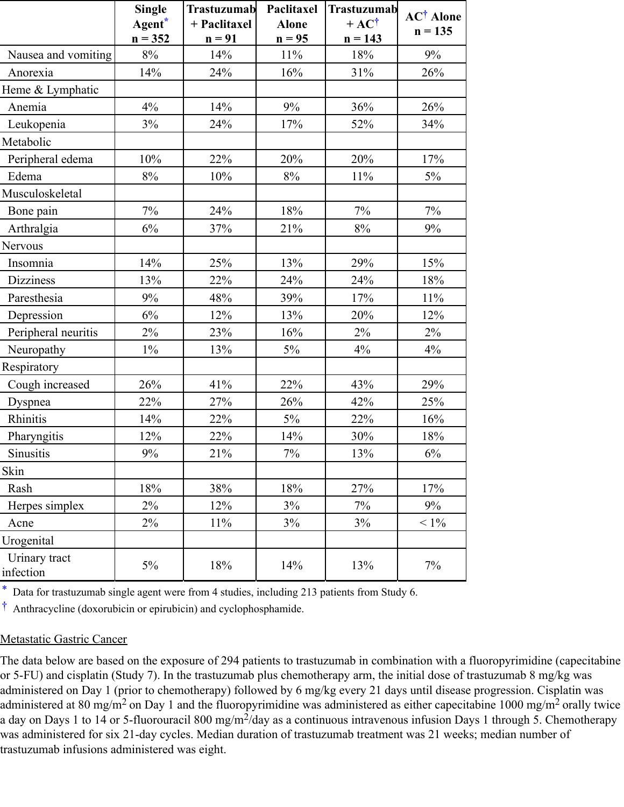|                            | <b>Single</b> | <b>Trastuzumab</b> | Paclitaxel   | <b>Trastuzumab</b> | <b>AC<sup>†</sup></b> Alone |
|----------------------------|---------------|--------------------|--------------|--------------------|-----------------------------|
|                            | Agent*        | + Paclitaxel       | <b>Alone</b> | $+ AC^{\dagger}$   | $n = 135$                   |
|                            | $n = 352$     | $n = 91$           | $n = 95$     | $n = 143$          |                             |
| Nausea and vomiting        | 8%            | 14%                | 11%          | 18%                | 9%                          |
| Anorexia                   | 14%           | 24%                | 16%          | 31%                | 26%                         |
| Heme & Lymphatic           |               |                    |              |                    |                             |
| Anemia                     | 4%            | 14%                | 9%           | 36%                | 26%                         |
| Leukopenia                 | 3%            | 24%                | 17%          | 52%                | 34%                         |
| Metabolic                  |               |                    |              |                    |                             |
| Peripheral edema           | $10\%$        | 22%                | 20%          | 20%                | $17\%$                      |
| Edema                      | 8%            | 10%                | 8%           | 11%                | 5%                          |
| Musculoskeletal            |               |                    |              |                    |                             |
| Bone pain                  | 7%            | 24%                | 18%          | 7%                 | 7%                          |
| Arthralgia                 | 6%            | 37%                | 21%          | $8\%$              | 9%                          |
| Nervous                    |               |                    |              |                    |                             |
| Insomnia                   | 14%           | 25%                | 13%          | 29%                | 15%                         |
| <b>Dizziness</b>           | 13%           | 22%                | 24%          | 24%                | 18%                         |
| Paresthesia                | 9%            | 48%                | 39%          | 17%                | 11%                         |
| Depression                 | 6%            | 12%                | 13%          | 20%                | 12%                         |
| Peripheral neuritis        | 2%            | 23%                | 16%          | $2\%$              | $2\%$                       |
| Neuropathy                 | $1\%$         | 13%                | 5%           | 4%                 | 4%                          |
| Respiratory                |               |                    |              |                    |                             |
| Cough increased            | 26%           | 41%                | 22%          | 43%                | 29%                         |
| Dyspnea                    | 22%           | 27%                | 26%          | 42%                | 25%                         |
| Rhinitis                   | 14%           | 22%                | $5\%$        | 22%                | 16%                         |
| Pharyngitis                | 12%           | 22%                | 14%          | 30%                | 18%                         |
| Sinusitis                  | $9\%$         | 21%                | $7\%$        | 13%                | 6%                          |
| Skin                       |               |                    |              |                    |                             |
| Rash                       | 18%           | 38%                | 18%          | 27%                | 17%                         |
| Herpes simplex             | 2%            | 12%                | 3%           | 7%                 | 9%                          |
| Acne                       | 2%            | 11%                | 3%           | 3%                 | $< 1\%$                     |
| Urogenital                 |               |                    |              |                    |                             |
| Urinary tract<br>infection | 5%            | 18%                | 14%          | 13%                | 7%                          |

\* Data for trastuzumab single agent were from 4 studies, including 213 patients from Study 6.

† Anthracycline (doxorubicin or epirubicin) and cyclophosphamide.

### Metastatic Gastric Cancer

The data below are based on the exposure of 294 patients to trastuzumab in combination with a fluoropyrimidine (capecitabine or 5-FU) and cisplatin (Study 7). In the trastuzumab plus chemotherapy arm, the initial dose of trastuzumab 8 mg/kg was administered on Day 1 (prior to chemotherapy) followed by 6 mg/kg every 21 days until disease progression. Cisplatin was administered at 80 mg/m<sup>2</sup> on Day 1 and the fluoropyrimidine was administered as either capecitabine 1000 mg/m<sup>2</sup> orally twice a day on Days 1 to 14 or 5-fluorouracil 800 mg/m<sup>2</sup>/day as a continuous intravenous infusion Days 1 through 5. Chemotherapy was administered for six 21-day cycles. Median duration of trastuzumab treatment was 21 weeks; median number of trastuzumab infusions administered was eight.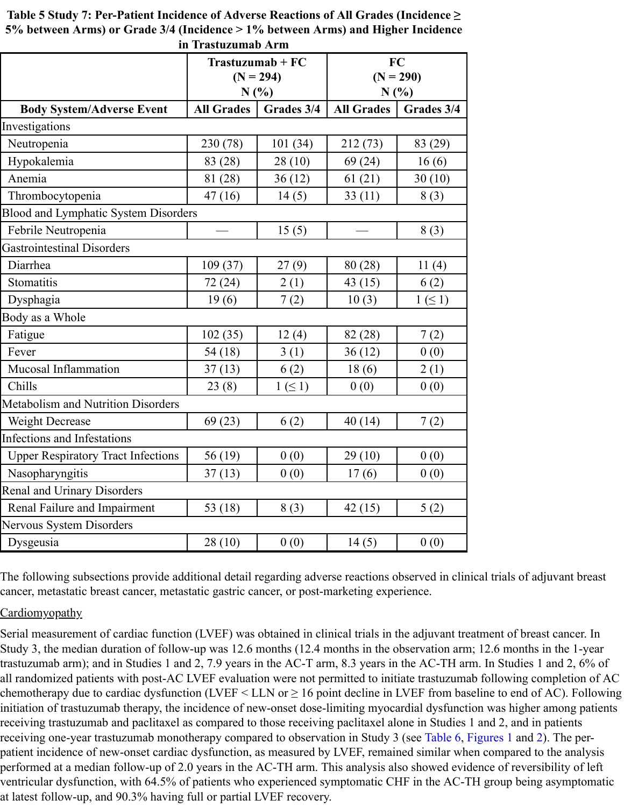|                                             | $Trastuzumab + FC$ |            | FC                |            |  |
|---------------------------------------------|--------------------|------------|-------------------|------------|--|
|                                             | $(N = 294)$        |            | $(N = 290)$       |            |  |
|                                             | N(%)               |            | N(%)              |            |  |
| <b>Body System/Adverse Event</b>            | <b>All Grades</b>  | Grades 3/4 | <b>All Grades</b> | Grades 3/4 |  |
| Investigations                              |                    |            |                   |            |  |
| Neutropenia                                 | 230 (78)           | 101(34)    | 212(73)           | 83 (29)    |  |
| Hypokalemia                                 | 83 (28)            | 28(10)     | 69(24)            | 16(6)      |  |
| Anemia                                      | 81 (28)            | 36(12)     | 61(21)            | 30(10)     |  |
| Thrombocytopenia                            | 47(16)             | 14(5)      | 33(11)            | 8(3)       |  |
| <b>Blood and Lymphatic System Disorders</b> |                    |            |                   |            |  |
| Febrile Neutropenia                         |                    | 15(5)      |                   | 8(3)       |  |
| <b>Gastrointestinal Disorders</b>           |                    |            |                   |            |  |
| Diarrhea                                    | 109(37)            | 27(9)      | 80 (28)           | 11(4)      |  |
| Stomatitis                                  | 72 (24)            | 2(1)       | 43 (15)           | 6(2)       |  |
| Dysphagia                                   | 19(6)              | 7(2)       | 10(3)             | $1\leq 1$  |  |
| Body as a Whole                             |                    |            |                   |            |  |
| Fatigue                                     | 102(35)            | 12(4)      | 82 (28)           | 7(2)       |  |
| Fever                                       | 54 (18)            | 3(1)       | 36(12)            | 0(0)       |  |
| Mucosal Inflammation                        | 37(13)             | 6(2)       | 18(6)             | 2(1)       |  |
| Chills                                      | 23(8)              | $1\leq 1$  | 0(0)              | 0(0)       |  |
| Metabolism and Nutrition Disorders          |                    |            |                   |            |  |
| Weight Decrease                             | 69(23)             | 6(2)       | 40(14)            | 7(2)       |  |
| Infections and Infestations                 |                    |            |                   |            |  |
| <b>Upper Respiratory Tract Infections</b>   | 56 (19)            | 0(0)       | 29(10)            | 0(0)       |  |
| Nasopharyngitis                             | 37(13)             | 0(0)       | 17(6)             | 0(0)       |  |
| <b>Renal and Urinary Disorders</b>          |                    |            |                   |            |  |
| Renal Failure and Impairment                | 53 (18)            | 8(3)       | 42(15)            | 5(2)       |  |
| Nervous System Disorders                    |                    |            |                   |            |  |
| Dysgeusia                                   | 28(10)             | 0(0)       | 14(5)             | 0(0)       |  |

**Table 5 Study 7: Per-Patient Incidence of Adverse Reactions of All Grades (Incidence ≥ 5% between Arms) or Grade 3/4 (Incidence > 1% between Arms) and Higher Incidence in Trastuzumab Arm**

The following subsections provide additional detail regarding adverse reactions observed in clinical trials of adjuvant breast cancer, metastatic breast cancer, metastatic gastric cancer, or post-marketing experience.

# Cardiomyopathy

Serial measurement of cardiac function (LVEF) was obtained in clinical trials in the adjuvant treatment of breast cancer. In Study 3, the median duration of follow-up was 12.6 months (12.4 months in the observation arm; 12.6 months in the 1-year trastuzumab arm); and in Studies 1 and 2, 7.9 years in the AC-T arm, 8.3 years in the AC-TH arm. In Studies 1 and 2, 6% of all randomized patients with post-AC LVEF evaluation were not permitted to initiate trastuzumab following completion of AC chemotherapy due to cardiac dysfunction (LVEF < LLN or  $\geq 16$  point decline in LVEF from baseline to end of AC). Following initiation of trastuzumab therapy, the incidence of new-onset dose-limiting myocardial dysfunction was higher among patients receiving trastuzumab and paclitaxel as compared to those receiving paclitaxel alone in Studies 1 and 2, and in patients receiving one-year trastuzumab monotherapy compared to observation in Study 3 (see Table 6, Figures 1 and 2). The perpatient incidence of new-onset cardiac dysfunction, as measured by LVEF, remained similar when compared to the analysis performed at a median follow-up of 2.0 years in the AC-TH arm. This analysis also showed evidence of reversibility of left ventricular dysfunction, with 64.5% of patients who experienced symptomatic CHF in the AC-TH group being asymptomatic at latest follow-up, and 90.3% having full or partial LVEF recovery.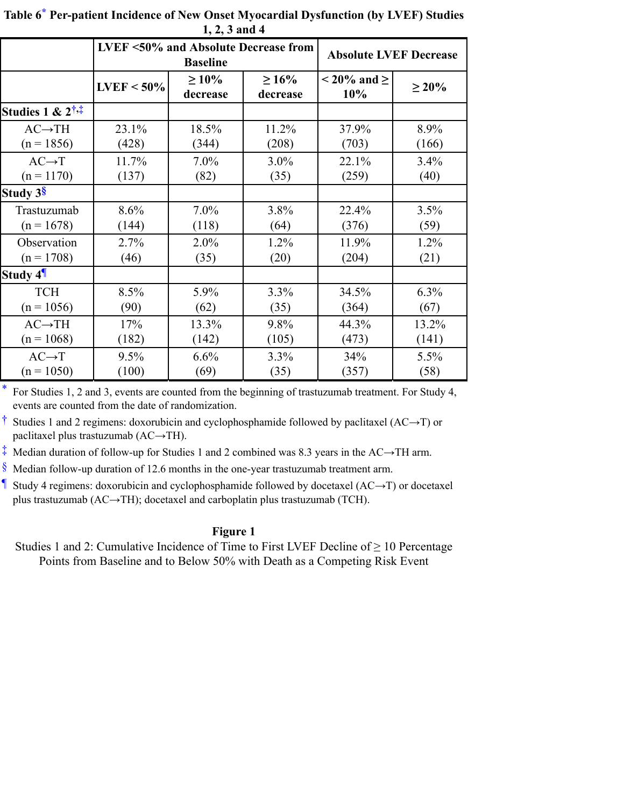|               | <b>Baseline</b>         | <b>Absolute LVEF Decrease</b> |                                                |             |  |  |
|---------------|-------------------------|-------------------------------|------------------------------------------------|-------------|--|--|
| $LVEF < 50\%$ | $\geq 10\%$<br>decrease | $\geq 16\%$<br>decrease       | $\leq$ 20% and $\geq$<br>10%                   | $\geq 20\%$ |  |  |
|               |                         |                               |                                                |             |  |  |
| 23.1%         | 18.5%                   | 11.2%                         | 37.9%                                          | 8.9%        |  |  |
| (428)         | (344)                   | (208)                         | (703)                                          | (166)       |  |  |
| 11.7%         | 7.0%                    | 3.0%                          | 22.1%                                          | 3.4%        |  |  |
| (137)         | (82)                    | (35)                          | (259)                                          | (40)        |  |  |
|               |                         |                               |                                                |             |  |  |
| 8.6%          | 7.0%                    | 3.8%                          | 22.4%                                          | 3.5%        |  |  |
| (144)         | (118)                   | (64)                          | (376)                                          | (59)        |  |  |
| 2.7%          | 2.0%                    | 1.2%                          | 11.9%                                          | 1.2%        |  |  |
| (46)          | (35)                    | (20)                          | (204)                                          | (21)        |  |  |
|               |                         |                               |                                                |             |  |  |
| 8.5%          | 5.9%                    | 3.3%                          | 34.5%                                          | 6.3%        |  |  |
| (90)          | (62)                    | (35)                          | (364)                                          | (67)        |  |  |
| 17%           | 13.3%                   | 9.8%                          | 44.3%                                          | 13.2%       |  |  |
| (182)         | (142)                   | (105)                         | (473)                                          | (141)       |  |  |
| 9.5%          | 6.6%                    | 3.3%                          | 34%                                            | 5.5%        |  |  |
| (100)         | (69)                    | (35)                          | (357)                                          | (58)        |  |  |
|               |                         |                               | <b>LVEF &lt;50% and Absolute Decrease from</b> |             |  |  |

Table 6<sup>\*</sup> Per-patient Incidence of New Onset Myocardial Dysfunction (by LVEF) Studies **1, 2, 3 and 4**

\* For Studies 1, 2 and 3, events are counted from the beginning of trastuzumab treatment. For Study 4, events are counted from the date of randomization.

† Studies 1 and 2 regimens: doxorubicin and cyclophosphamide followed by paclitaxel (AC→T) or paclitaxel plus trastuzumab (AC→TH).

‡ Median duration of follow-up for Studies 1 and 2 combined was 8.3 years in the AC→TH arm.

§ Median follow-up duration of 12.6 months in the one-year trastuzumab treatment arm.

¶ Study 4 regimens: doxorubicin and cyclophosphamide followed by docetaxel (AC→T) or docetaxel plus trastuzumab (AC→TH); docetaxel and carboplatin plus trastuzumab (TCH).

#### **Figure 1**

Studies 1 and 2: Cumulative Incidence of Time to First LVEF Decline of  $\geq 10$  Percentage Points from Baseline and to Below 50% with Death as a Competing Risk Event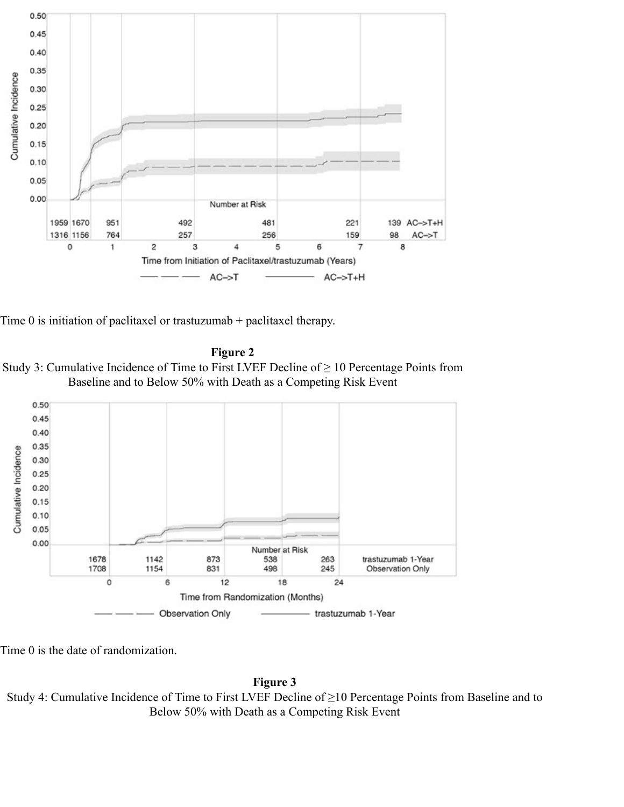

Time 0 is initiation of paclitaxel or trastuzumab + paclitaxel therapy.





Time 0 is the date of randomization.

#### **Figure 3**

Study 4: Cumulative Incidence of Time to First LVEF Decline of ≥10 Percentage Points from Baseline and to Below 50% with Death as a Competing Risk Event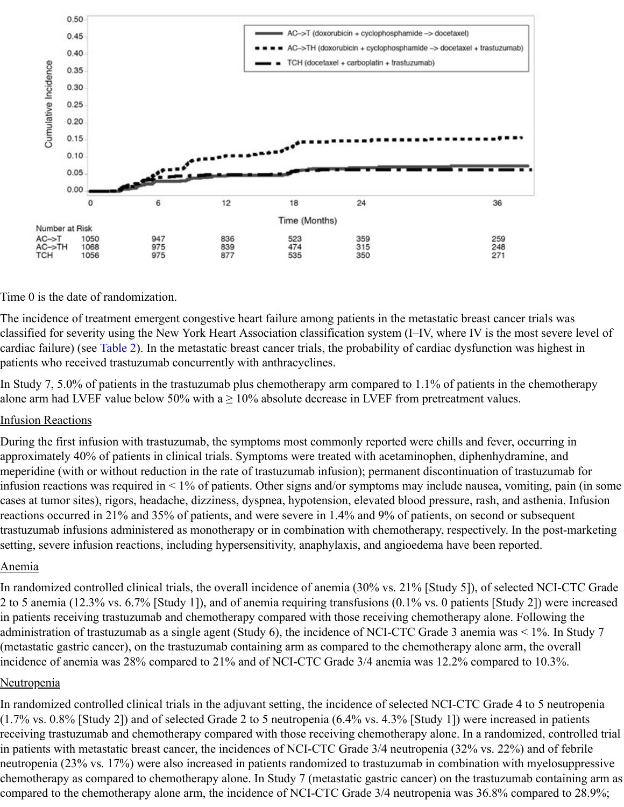

### Time 0 is the date of randomization.

The incidence of treatment emergent congestive heart failure among patients in the metastatic breast cancer trials was classified for severity using the New York Heart Association classification system (I–IV, where IV is the most severe level of cardiac failure) (see Table 2). In the metastatic breast cancer trials, the probability of cardiac dysfunction was highest in patients who received trastuzumab concurrently with anthracyclines.

In Study 7, 5.0% of patients in the trastuzumab plus chemotherapy arm compared to 1.1% of patients in the chemotherapy alone arm had LVEF value below 50% with  $a \ge 10\%$  absolute decrease in LVEF from pretreatment values.

#### Infusion Reactions

During the first infusion with trastuzumab, the symptoms most commonly reported were chills and fever, occurring in approximately 40% of patients in clinical trials. Symptoms were treated with acetaminophen, diphenhydramine, and meperidine (with or without reduction in the rate of trastuzumab infusion); permanent discontinuation of trastuzumab for infusion reactions was required in < 1% of patients. Other signs and/or symptoms may include nausea, vomiting, pain (in some cases at tumor sites), rigors, headache, dizziness, dyspnea, hypotension, elevated blood pressure, rash, and asthenia. Infusion reactions occurred in 21% and 35% of patients, and were severe in 1.4% and 9% of patients, on second or subsequent trastuzumab infusions administered as monotherapy or in combination with chemotherapy, respectively. In the post-marketing setting, severe infusion reactions, including hypersensitivity, anaphylaxis, and angioedema have been reported.

#### Anemia

In randomized controlled clinical trials, the overall incidence of anemia (30% vs. 21% [Study 5]), of selected NCI-CTC Grade 2 to 5 anemia (12.3% vs. 6.7% [Study 1]), and of anemia requiring transfusions (0.1% vs. 0 patients [Study 2]) were increased in patients receiving trastuzumab and chemotherapy compared with those receiving chemotherapy alone. Following the administration of trastuzumab as a single agent (Study 6), the incidence of NCI-CTC Grade 3 anemia was < 1%. In Study 7 (metastatic gastric cancer), on the trastuzumab containing arm as compared to the chemotherapy alone arm, the overall incidence of anemia was 28% compared to 21% and of NCI-CTC Grade 3/4 anemia was 12.2% compared to 10.3%.

#### Neutropenia

In randomized controlled clinical trials in the adjuvant setting, the incidence of selected NCI-CTC Grade 4 to 5 neutropenia (1.7% vs. 0.8% [Study 2]) and of selected Grade 2 to 5 neutropenia (6.4% vs. 4.3% [Study 1]) were increased in patients receiving trastuzumab and chemotherapy compared with those receiving chemotherapy alone. In a randomized, controlled trial in patients with metastatic breast cancer, the incidences of NCI-CTC Grade 3/4 neutropenia (32% vs. 22%) and of febrile neutropenia (23% vs. 17%) were also increased in patients randomized to trastuzumab in combination with myelosuppressive chemotherapy as compared to chemotherapy alone. In Study 7 (metastatic gastric cancer) on the trastuzumab containing arm as compared to the chemotherapy alone arm, the incidence of NCI-CTC Grade 3/4 neutropenia was 36.8% compared to 28.9%;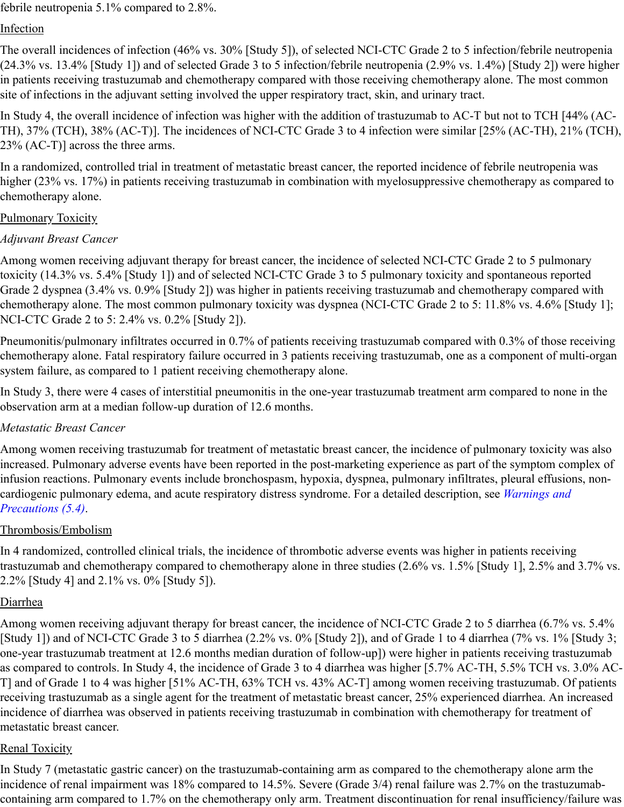febrile neutropenia 5.1% compared to 2.8%.

## Infection

The overall incidences of infection (46% vs. 30% [Study 5]), of selected NCI-CTC Grade 2 to 5 infection/febrile neutropenia (24.3% vs. 13.4% [Study 1]) and of selected Grade 3 to 5 infection/febrile neutropenia (2.9% vs. 1.4%) [Study 2]) were higher in patients receiving trastuzumab and chemotherapy compared with those receiving chemotherapy alone. The most common site of infections in the adjuvant setting involved the upper respiratory tract, skin, and urinary tract.

In Study 4, the overall incidence of infection was higher with the addition of trastuzumab to AC-T but not to TCH [44% (AC-TH), 37% (TCH), 38% (AC-T)]. The incidences of NCI-CTC Grade 3 to 4 infection were similar [25% (AC-TH), 21% (TCH), 23% (AC-T)] across the three arms.

In a randomized, controlled trial in treatment of metastatic breast cancer, the reported incidence of febrile neutropenia was higher (23% vs. 17%) in patients receiving trastuzumab in combination with myelosuppressive chemotherapy as compared to chemotherapy alone.

## Pulmonary Toxicity

## *Adjuvant Breast Cancer*

Among women receiving adjuvant therapy for breast cancer, the incidence of selected NCI-CTC Grade 2 to 5 pulmonary toxicity (14.3% vs. 5.4% [Study 1]) and of selected NCI-CTC Grade 3 to 5 pulmonary toxicity and spontaneous reported Grade 2 dyspnea (3.4% vs. 0.9% [Study 2]) was higher in patients receiving trastuzumab and chemotherapy compared with chemotherapy alone. The most common pulmonary toxicity was dyspnea (NCI-CTC Grade 2 to 5: 11.8% vs. 4.6% [Study 1]; NCI-CTC Grade 2 to 5: 2.4% vs. 0.2% [Study 2]).

Pneumonitis/pulmonary infiltrates occurred in 0.7% of patients receiving trastuzumab compared with 0.3% of those receiving chemotherapy alone. Fatal respiratory failure occurred in 3 patients receiving trastuzumab, one as a component of multi-organ system failure, as compared to 1 patient receiving chemotherapy alone.

In Study 3, there were 4 cases of interstitial pneumonitis in the one-year trastuzumab treatment arm compared to none in the observation arm at a median follow-up duration of 12.6 months.

### *Metastatic Breast Cancer*

Among women receiving trastuzumab for treatment of metastatic breast cancer, the incidence of pulmonary toxicity was also increased. Pulmonary adverse events have been reported in the post-marketing experience as part of the symptom complex of infusion reactions. Pulmonary events include bronchospasm, hypoxia, dyspnea, pulmonary infiltrates, pleural effusions, noncardiogenic pulmonary edema, and acute respiratory distress syndrome. For a detailed description, see *Warnings and Precautions (5.4)*.

### Thrombosis/Embolism

In 4 randomized, controlled clinical trials, the incidence of thrombotic adverse events was higher in patients receiving trastuzumab and chemotherapy compared to chemotherapy alone in three studies (2.6% vs. 1.5% [Study 1], 2.5% and 3.7% vs. 2.2% [Study 4] and 2.1% vs. 0% [Study 5]).

### Diarrhea

Among women receiving adjuvant therapy for breast cancer, the incidence of NCI-CTC Grade 2 to 5 diarrhea (6.7% vs. 5.4% [Study 1]) and of NCI-CTC Grade 3 to 5 diarrhea (2.2% vs. 0% [Study 2]), and of Grade 1 to 4 diarrhea (7% vs. 1% [Study 3; one-year trastuzumab treatment at 12.6 months median duration of follow-up]) were higher in patients receiving trastuzumab as compared to controls. In Study 4, the incidence of Grade 3 to 4 diarrhea was higher [5.7% AC-TH, 5.5% TCH vs. 3.0% AC-T] and of Grade 1 to 4 was higher [51% AC-TH, 63% TCH vs. 43% AC-T] among women receiving trastuzumab. Of patients receiving trastuzumab as a single agent for the treatment of metastatic breast cancer, 25% experienced diarrhea. An increased incidence of diarrhea was observed in patients receiving trastuzumab in combination with chemotherapy for treatment of metastatic breast cancer.

### Renal Toxicity

In Study 7 (metastatic gastric cancer) on the trastuzumab-containing arm as compared to the chemotherapy alone arm the incidence of renal impairment was 18% compared to 14.5%. Severe (Grade 3/4) renal failure was 2.7% on the trastuzumabcontaining arm compared to 1.7% on the chemotherapy only arm. Treatment discontinuation for renal insufficiency/failure was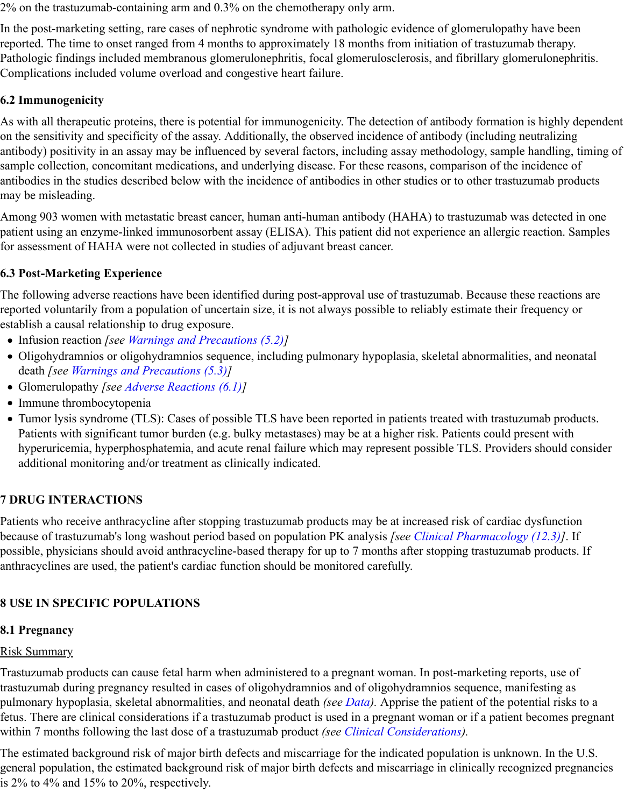2% on the trastuzumab-containing arm and 0.3% on the chemotherapy only arm.

In the post-marketing setting, rare cases of nephrotic syndrome with pathologic evidence of glomerulopathy have been reported. The time to onset ranged from 4 months to approximately 18 months from initiation of trastuzumab therapy. Pathologic findings included membranous glomerulonephritis, focal glomerulosclerosis, and fibrillary glomerulonephritis. Complications included volume overload and congestive heart failure.

### **6.2 Immunogenicity**

As with all therapeutic proteins, there is potential for immunogenicity. The detection of antibody formation is highly dependent on the sensitivity and specificity of the assay. Additionally, the observed incidence of antibody (including neutralizing antibody) positivity in an assay may be influenced by several factors, including assay methodology, sample handling, timing of sample collection, concomitant medications, and underlying disease. For these reasons, comparison of the incidence of antibodies in the studies described below with the incidence of antibodies in other studies or to other trastuzumab products may be misleading.

Among 903 women with metastatic breast cancer, human anti-human antibody (HAHA) to trastuzumab was detected in one patient using an enzyme-linked immunosorbent assay (ELISA). This patient did not experience an allergic reaction. Samples for assessment of HAHA were not collected in studies of adjuvant breast cancer.

# **6.3 Post-Marketing Experience**

The following adverse reactions have been identified during post-approval use of trastuzumab. Because these reactions are reported voluntarily from a population of uncertain size, it is not always possible to reliably estimate their frequency or establish a causal relationship to drug exposure.

- Infusion reaction *[see Warnings and Precautions (5.2)]*
- Oligohydramnios or oligohydramnios sequence, including pulmonary hypoplasia, skeletal abnormalities, and neonatal death *[see Warnings and Precautions (5.3)]*
- Glomerulopathy *[see Adverse Reactions (6.1)]*
- Immune thrombocytopenia
- Tumor lysis syndrome (TLS): Cases of possible TLS have been reported in patients treated with trastuzumab products. Patients with significant tumor burden (e.g. bulky metastases) may be at a higher risk. Patients could present with hyperuricemia, hyperphosphatemia, and acute renal failure which may represent possible TLS. Providers should consider additional monitoring and/or treatment as clinically indicated.

# **7 DRUG INTERACTIONS**

Patients who receive anthracycline after stopping trastuzumab products may be at increased risk of cardiac dysfunction because of trastuzumab's long washout period based on population PK analysis *[see Clinical Pharmacology (12.3)]*. If possible, physicians should avoid anthracycline-based therapy for up to 7 months after stopping trastuzumab products. If anthracyclines are used, the patient's cardiac function should be monitored carefully.

# **8 USE IN SPECIFIC POPULATIONS**

# **8.1 Pregnancy**

# Risk Summary

Trastuzumab products can cause fetal harm when administered to a pregnant woman. In post-marketing reports, use of trastuzumab during pregnancy resulted in cases of oligohydramnios and of oligohydramnios sequence, manifesting as pulmonary hypoplasia, skeletal abnormalities, and neonatal death *(see Data).* Apprise the patient of the potential risks to a fetus. There are clinical considerations if a trastuzumab product is used in a pregnant woman or if a patient becomes pregnant within 7 months following the last dose of a trastuzumab product *(see Clinical Considerations).*

The estimated background risk of major birth defects and miscarriage for the indicated population is unknown. In the U.S. general population, the estimated background risk of major birth defects and miscarriage in clinically recognized pregnancies is  $2\%$  to  $4\%$  and  $15\%$  to  $20\%$ , respectively.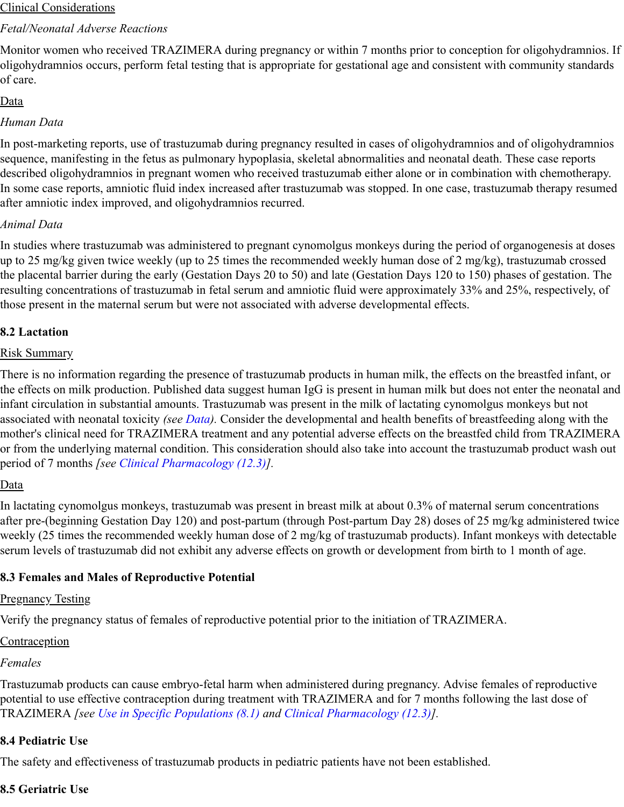#### Clinical Considerations

## *Fetal/Neonatal Adverse Reactions*

Monitor women who received TRAZIMERA during pregnancy or within 7 months prior to conception for oligohydramnios. If oligohydramnios occurs, perform fetal testing that is appropriate for gestational age and consistent with community standards of care.

## Data

## *Human Data*

In post-marketing reports, use of trastuzumab during pregnancy resulted in cases of oligohydramnios and of oligohydramnios sequence, manifesting in the fetus as pulmonary hypoplasia, skeletal abnormalities and neonatal death. These case reports described oligohydramnios in pregnant women who received trastuzumab either alone or in combination with chemotherapy. In some case reports, amniotic fluid index increased after trastuzumab was stopped. In one case, trastuzumab therapy resumed after amniotic index improved, and oligohydramnios recurred.

# *Animal Data*

In studies where trastuzumab was administered to pregnant cynomolgus monkeys during the period of organogenesis at doses up to 25 mg/kg given twice weekly (up to 25 times the recommended weekly human dose of 2 mg/kg), trastuzumab crossed the placental barrier during the early (Gestation Days 20 to 50) and late (Gestation Days 120 to 150) phases of gestation. The resulting concentrations of trastuzumab in fetal serum and amniotic fluid were approximately 33% and 25%, respectively, of those present in the maternal serum but were not associated with adverse developmental effects.

## **8.2 Lactation**

## Risk Summary

There is no information regarding the presence of trastuzumab products in human milk, the effects on the breastfed infant, or the effects on milk production. Published data suggest human IgG is present in human milk but does not enter the neonatal and infant circulation in substantial amounts. Trastuzumab was present in the milk of lactating cynomolgus monkeys but not associated with neonatal toxicity *(see Data).* Consider the developmental and health benefits of breastfeeding along with the mother's clinical need for TRAZIMERA treatment and any potential adverse effects on the breastfed child from TRAZIMERA or from the underlying maternal condition. This consideration should also take into account the trastuzumab product wash out period of 7 months *[see Clinical Pharmacology (12.3)].*

### Data

In lactating cynomolgus monkeys, trastuzumab was present in breast milk at about 0.3% of maternal serum concentrations after pre-(beginning Gestation Day 120) and post-partum (through Post-partum Day 28) doses of 25 mg/kg administered twice weekly (25 times the recommended weekly human dose of 2 mg/kg of trastuzumab products). Infant monkeys with detectable serum levels of trastuzumab did not exhibit any adverse effects on growth or development from birth to 1 month of age.

# **8.3 Females and Males of Reproductive Potential**

### Pregnancy Testing

Verify the pregnancy status of females of reproductive potential prior to the initiation of TRAZIMERA.

### Contraception

# *Females*

Trastuzumab products can cause embryo-fetal harm when administered during pregnancy. Advise females of reproductive potential to use effective contraception during treatment with TRAZIMERA and for 7 months following the last dose of TRAZIMERA *[see Use in Specific Populations (8.1) and Clinical Pharmacology (12.3)].*

# **8.4 Pediatric Use**

The safety and effectiveness of trastuzumab products in pediatric patients have not been established.

# **8.5 Geriatric Use**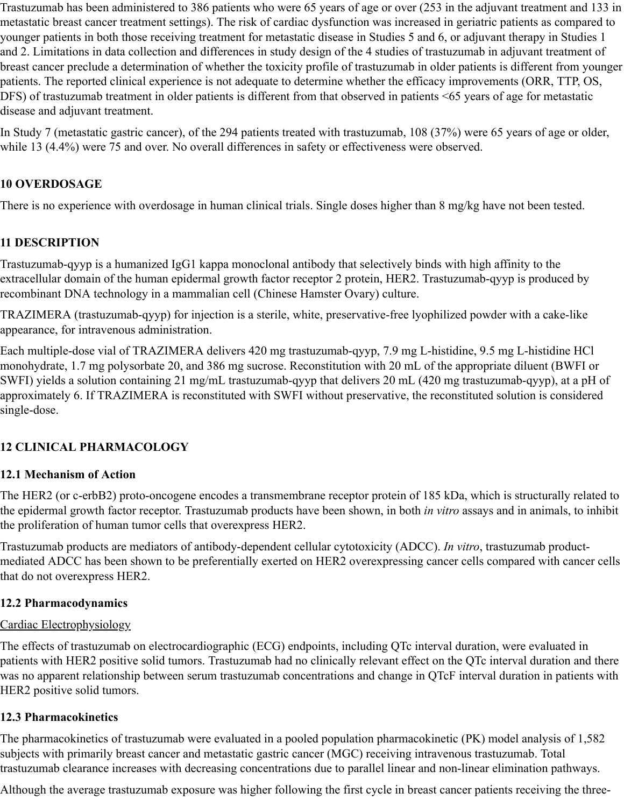Trastuzumab has been administered to 386 patients who were 65 years of age or over (253 in the adjuvant treatment and 133 in metastatic breast cancer treatment settings). The risk of cardiac dysfunction was increased in geriatric patients as compared to younger patients in both those receiving treatment for metastatic disease in Studies 5 and 6, or adjuvant therapy in Studies 1 and 2. Limitations in data collection and differences in study design of the 4 studies of trastuzumab in adjuvant treatment of breast cancer preclude a determination of whether the toxicity profile of trastuzumab in older patients is different from younger patients. The reported clinical experience is not adequate to determine whether the efficacy improvements (ORR, TTP, OS, DFS) of trastuzumab treatment in older patients is different from that observed in patients <65 years of age for metastatic disease and adjuvant treatment.

In Study 7 (metastatic gastric cancer), of the 294 patients treated with trastuzumab, 108 (37%) were 65 years of age or older, while 13 (4.4%) were 75 and over. No overall differences in safety or effectiveness were observed.

# **10 OVERDOSAGE**

There is no experience with overdosage in human clinical trials. Single doses higher than 8 mg/kg have not been tested.

# **11 DESCRIPTION**

Trastuzumab-qyyp is a humanized IgG1 kappa monoclonal antibody that selectively binds with high affinity to the extracellular domain of the human epidermal growth factor receptor 2 protein, HER2. Trastuzumab-qyyp is produced by recombinant DNA technology in a mammalian cell (Chinese Hamster Ovary) culture.

TRAZIMERA (trastuzumab-qyyp) for injection is a sterile, white, preservative-free lyophilized powder with a cake-like appearance, for intravenous administration.

Each multiple-dose vial of TRAZIMERA delivers 420 mg trastuzumab-qyyp, 7.9 mg L-histidine, 9.5 mg L-histidine HCl monohydrate, 1.7 mg polysorbate 20, and 386 mg sucrose. Reconstitution with 20 mL of the appropriate diluent (BWFI or SWFI) yields a solution containing 21 mg/mL trastuzumab-qyyp that delivers 20 mL (420 mg trastuzumab-qyyp), at a pH of approximately 6. If TRAZIMERA is reconstituted with SWFI without preservative, the reconstituted solution is considered single-dose.

# **12 CLINICAL PHARMACOLOGY**

# **12.1 Mechanism of Action**

The HER2 (or c-erbB2) proto-oncogene encodes a transmembrane receptor protein of 185 kDa, which is structurally related to the epidermal growth factor receptor. Trastuzumab products have been shown, in both *in vitro* assays and in animals, to inhibit the proliferation of human tumor cells that overexpress HER2.

Trastuzumab products are mediators of antibody-dependent cellular cytotoxicity (ADCC). *In vitro*, trastuzumab productmediated ADCC has been shown to be preferentially exerted on HER2 overexpressing cancer cells compared with cancer cells that do not overexpress HER2.

### **12.2 Pharmacodynamics**

### Cardiac Electrophysiology

The effects of trastuzumab on electrocardiographic (ECG) endpoints, including QTc interval duration, were evaluated in patients with HER2 positive solid tumors. Trastuzumab had no clinically relevant effect on the QTc interval duration and there was no apparent relationship between serum trastuzumab concentrations and change in QTcF interval duration in patients with HER2 positive solid tumors.

### **12.3 Pharmacokinetics**

The pharmacokinetics of trastuzumab were evaluated in a pooled population pharmacokinetic (PK) model analysis of 1,582 subjects with primarily breast cancer and metastatic gastric cancer (MGC) receiving intravenous trastuzumab. Total trastuzumab clearance increases with decreasing concentrations due to parallel linear and non-linear elimination pathways.

Although the average trastuzumab exposure was higher following the first cycle in breast cancer patients receiving the three-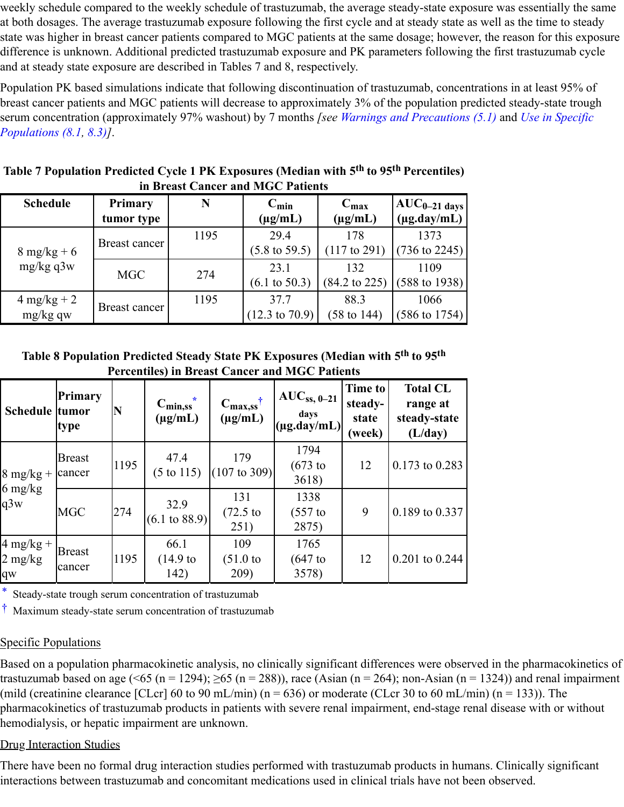weekly schedule compared to the weekly schedule of trastuzumab, the average steady-state exposure was essentially the same at both dosages. The average trastuzumab exposure following the first cycle and at steady state as well as the time to steady state was higher in breast cancer patients compared to MGC patients at the same dosage; however, the reason for this exposure difference is unknown. Additional predicted trastuzumab exposure and PK parameters following the first trastuzumab cycle and at steady state exposure are described in Tables 7 and 8, respectively.

Population PK based simulations indicate that following discontinuation of trastuzumab, concentrations in at least 95% of breast cancer patients and MGC patients will decrease to approximately 3% of the population predicted steady-state trough serum concentration (approximately 97% washout) by 7 months *[see Warnings and Precautions (5.1)* and *Use in Specific Populations (8.1, 8.3)]*.

| <b>Schedule</b>                      | Primary<br>tumor type | N    | $C_{\min}$<br>$(\mu g/mL)$        | $C_{max}$<br>$(\mu g/mL)$       | $AUC_{0-21}$ days<br>$(\mu g.day/mL)$ |
|--------------------------------------|-----------------------|------|-----------------------------------|---------------------------------|---------------------------------------|
| $8 \text{ mg/kg} + 6$<br>$mg/kg$ q3w | Breast cancer         | 1195 | 29.4<br>$(5.8 \text{ to } 59.5)$  | 178<br>$(117 \text{ to } 291)$  | 1373<br>$(736 \text{ to } 2245)$      |
|                                      | <b>MGC</b>            | 274  | 23.1<br>$(6.1 \text{ to } 50.3)$  | 132<br>$(84.2 \text{ to } 225)$ | 1109<br>$(588 \text{ to } 1938)$      |
| $4 \text{ mg/kg} + 2$<br>$mg/kg$ qw  | Breast cancer         | 1195 | 37.7<br>$(12.3 \text{ to } 70.9)$ | 88.3<br>$(58 \text{ to } 144)$  | 1066<br>$(586 \text{ to } 1754)$      |

Table 7 Population Predicted Cycle 1 PK Exposures (Median with 5<sup>th</sup> to 95<sup>th</sup> Percentiles) **in Breast Cancer and MGC Patients**

Table 8 Population Predicted Steady State PK Exposures (Median with 5<sup>th</sup> to 95<sup>th</sup> **Percentiles) in Breast Cancer and MGC Patients**

| Schedule tumor                                 | Primary<br>type         | N    | $\star$<br>$C_{\text{min,ss}}$<br>$(\mu g/mL)$ | $C_{\text{max,ss}}$ †<br>$(\mu g/mL)$ | $AUC_{ss, 0-21}$<br>days<br>$(\mu g.day/mL)$ | Time to<br>steady-<br>state<br>(week) | <b>Total CL</b><br>range at<br>steady-state<br>(L/day) |
|------------------------------------------------|-------------------------|------|------------------------------------------------|---------------------------------------|----------------------------------------------|---------------------------------------|--------------------------------------------------------|
| $8$ mg/kg +                                    | <b>Breast</b><br>cancer | 1195 | 47.4<br>$(5 \text{ to } 115)$                  | 179<br>$(107 \text{ to } 309)$        | 1794<br>$(673)$ to<br>3618)                  | 12                                    | $0.173$ to $0.283$                                     |
| $6 \frac{\text{mg}}{\text{kg}}$<br>q3w         | <b>MGC</b>              | 274  | 32.9<br>$(6.1 \text{ to } 88.9)$               | 131<br>$(72.5)$ to<br>251)            | 1338<br>$(557)$ to<br>2875)                  | 9                                     | 0.189 to 0.337                                         |
| $4 \text{ mg/kg} +$<br>$2 \text{ mg/kg}$<br>qw | <b>Breast</b><br>cancer | 1195 | 66.1<br>$(14.9 \text{ to }$<br>142)            | 109<br>(51.0)<br>209)                 | 1765<br>$(647)$ to<br>3578)                  | 12                                    | $0.201$ to $0.244$                                     |

\* Steady-state trough serum concentration of trastuzumab

† Maximum steady-state serum concentration of trastuzumab

# Specific Populations

Based on a population pharmacokinetic analysis, no clinically significant differences were observed in the pharmacokinetics of trastuzumab based on age (<65 (n = 1294); >65 (n = 288)), race (Asian (n = 264); non-Asian (n = 1324)) and renal impairment (mild (creatinine clearance [CLcr] 60 to 90 mL/min) ( $n = 636$ ) or moderate (CLcr 30 to 60 mL/min) ( $n = 133$ )). The pharmacokinetics of trastuzumab products in patients with severe renal impairment, end-stage renal disease with or without hemodialysis, or hepatic impairment are unknown.

# Drug Interaction Studies

There have been no formal drug interaction studies performed with trastuzumab products in humans. Clinically significant interactions between trastuzumab and concomitant medications used in clinical trials have not been observed.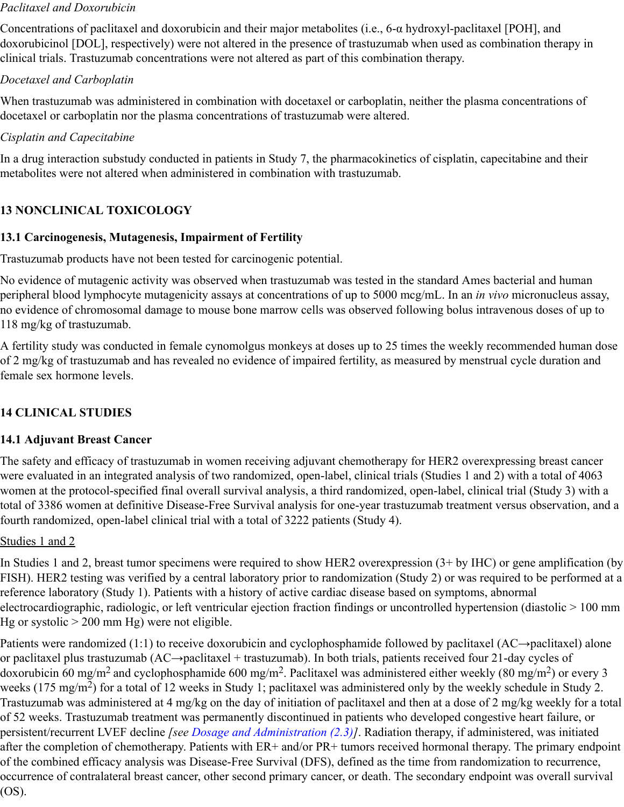#### *Paclitaxel and Doxorubicin*

Concentrations of paclitaxel and doxorubicin and their major metabolites (i.e., 6-α hydroxyl-paclitaxel [POH], and doxorubicinol [DOL], respectively) were not altered in the presence of trastuzumab when used as combination therapy in clinical trials. Trastuzumab concentrations were not altered as part of this combination therapy.

### *Docetaxel and Carboplatin*

When trastuzumab was administered in combination with docetaxel or carboplatin, neither the plasma concentrations of docetaxel or carboplatin nor the plasma concentrations of trastuzumab were altered.

## *Cisplatin and Capecitabine*

In a drug interaction substudy conducted in patients in Study 7, the pharmacokinetics of cisplatin, capecitabine and their metabolites were not altered when administered in combination with trastuzumab.

# **13 NONCLINICAL TOXICOLOGY**

## **13.1 Carcinogenesis, Mutagenesis, Impairment of Fertility**

Trastuzumab products have not been tested for carcinogenic potential.

No evidence of mutagenic activity was observed when trastuzumab was tested in the standard Ames bacterial and human peripheral blood lymphocyte mutagenicity assays at concentrations of up to 5000 mcg/mL. In an *in vivo* micronucleus assay, no evidence of chromosomal damage to mouse bone marrow cells was observed following bolus intravenous doses of up to 118 mg/kg of trastuzumab.

A fertility study was conducted in female cynomolgus monkeys at doses up to 25 times the weekly recommended human dose of 2 mg/kg of trastuzumab and has revealed no evidence of impaired fertility, as measured by menstrual cycle duration and female sex hormone levels.

# **14 CLINICAL STUDIES**

### **14.1 Adjuvant Breast Cancer**

The safety and efficacy of trastuzumab in women receiving adjuvant chemotherapy for HER2 overexpressing breast cancer were evaluated in an integrated analysis of two randomized, open-label, clinical trials (Studies 1 and 2) with a total of 4063 women at the protocol-specified final overall survival analysis, a third randomized, open-label, clinical trial (Study 3) with a total of 3386 women at definitive Disease-Free Survival analysis for one-year trastuzumab treatment versus observation, and a fourth randomized, open-label clinical trial with a total of 3222 patients (Study 4).

### Studies 1 and 2

In Studies 1 and 2, breast tumor specimens were required to show HER2 overexpression (3+ by IHC) or gene amplification (by FISH). HER2 testing was verified by a central laboratory prior to randomization (Study 2) or was required to be performed at a reference laboratory (Study 1). Patients with a history of active cardiac disease based on symptoms, abnormal electrocardiographic, radiologic, or left ventricular ejection fraction findings or uncontrolled hypertension (diastolic > 100 mm Hg or systolic  $> 200$  mm Hg) were not eligible.

Patients were randomized (1:1) to receive doxorubicin and cyclophosphamide followed by paclitaxel (AC→paclitaxel) alone or paclitaxel plus trastuzumab (AC→paclitaxel + trastuzumab). In both trials, patients received four 21-day cycles of doxorubicin 60 mg/m<sup>2</sup> and cyclophosphamide 600 mg/m<sup>2</sup>. Paclitaxel was administered either weekly (80 mg/m<sup>2</sup>) or every 3 weeks (175 mg/m<sup>2</sup>) for a total of 12 weeks in Study 1; paclitaxel was administered only by the weekly schedule in Study 2. Trastuzumab was administered at 4 mg/kg on the day of initiation of paclitaxel and then at a dose of 2 mg/kg weekly for a total of 52 weeks. Trastuzumab treatment was permanently discontinued in patients who developed congestive heart failure, or persistent/recurrent LVEF decline *[see Dosage and Administration (2.3)]*. Radiation therapy, if administered, was initiated after the completion of chemotherapy. Patients with ER+ and/or PR+ tumors received hormonal therapy. The primary endpoint of the combined efficacy analysis was Disease-Free Survival (DFS), defined as the time from randomization to recurrence, occurrence of contralateral breast cancer, other second primary cancer, or death. The secondary endpoint was overall survival (OS).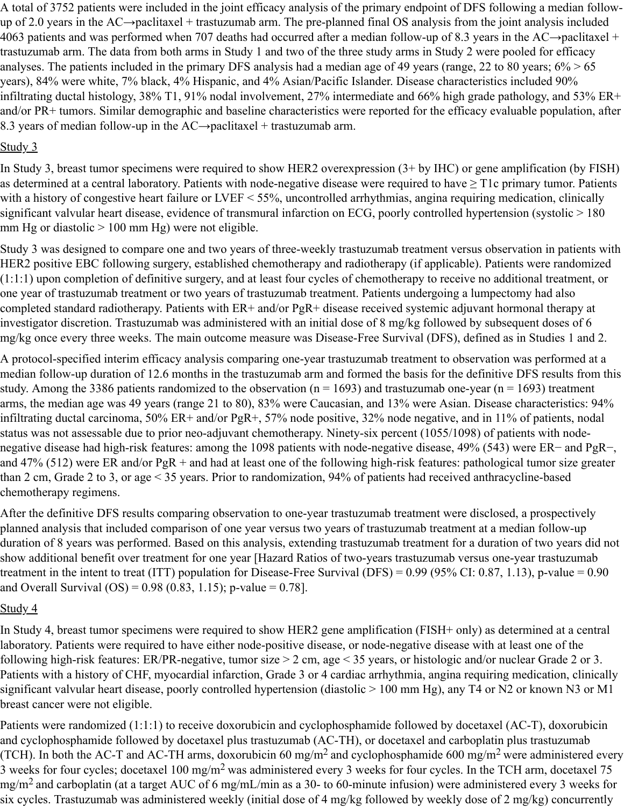A total of 3752 patients were included in the joint efficacy analysis of the primary endpoint of DFS following a median followup of 2.0 years in the AC $\rightarrow$ paclitaxel + trastuzumab arm. The pre-planned final OS analysis from the joint analysis included 4063 patients and was performed when 707 deaths had occurred after a median follow-up of 8.3 years in the AC→paclitaxel + trastuzumab arm. The data from both arms in Study 1 and two of the three study arms in Study 2 were pooled for efficacy analyses. The patients included in the primary DFS analysis had a median age of 49 years (range, 22 to 80 years;  $6\% > 65$ years), 84% were white, 7% black, 4% Hispanic, and 4% Asian/Pacific Islander. Disease characteristics included 90% infiltrating ductal histology, 38% T1, 91% nodal involvement, 27% intermediate and 66% high grade pathology, and 53% ER+ and/or PR+ tumors. Similar demographic and baseline characteristics were reported for the efficacy evaluable population, after 8.3 years of median follow-up in the  $AC \rightarrow$  paclitaxel + trastuzumab arm.

# <u>Study 3</u>

In Study 3, breast tumor specimens were required to show HER2 overexpression (3+ by IHC) or gene amplification (by FISH) as determined at a central laboratory. Patients with node-negative disease were required to have  $\geq$  T1c primary tumor. Patients with a history of congestive heart failure or LVEF < 55%, uncontrolled arrhythmias, angina requiring medication, clinically significant valvular heart disease, evidence of transmural infarction on ECG, poorly controlled hypertension (systolic > 180 mm Hg or diastolic  $> 100$  mm Hg) were not eligible.

Study 3 was designed to compare one and two years of three-weekly trastuzumab treatment versus observation in patients with HER2 positive EBC following surgery, established chemotherapy and radiotherapy (if applicable). Patients were randomized (1:1:1) upon completion of definitive surgery, and at least four cycles of chemotherapy to receive no additional treatment, or one year of trastuzumab treatment or two years of trastuzumab treatment. Patients undergoing a lumpectomy had also completed standard radiotherapy. Patients with ER+ and/or PgR+ disease received systemic adjuvant hormonal therapy at investigator discretion. Trastuzumab was administered with an initial dose of 8 mg/kg followed by subsequent doses of 6 mg/kg once every three weeks. The main outcome measure was Disease-Free Survival (DFS), defined as in Studies 1 and 2.

A protocol-specified interim efficacy analysis comparing one-year trastuzumab treatment to observation was performed at a median follow-up duration of 12.6 months in the trastuzumab arm and formed the basis for the definitive DFS results from this study. Among the 3386 patients randomized to the observation  $(n = 1693)$  and trastuzumab one-year  $(n = 1693)$  treatment arms, the median age was 49 years (range 21 to 80), 83% were Caucasian, and 13% were Asian. Disease characteristics: 94% infiltrating ductal carcinoma, 50% ER+ and/or PgR+, 57% node positive, 32% node negative, and in 11% of patients, nodal status was not assessable due to prior neo-adjuvant chemotherapy. Ninety-six percent (1055/1098) of patients with nodenegative disease had high-risk features: among the 1098 patients with node-negative disease, 49% (543) were ER− and PgR−, and 47% (512) were ER and/or PgR + and had at least one of the following high-risk features: pathological tumor size greater than 2 cm, Grade 2 to 3, or age < 35 years. Prior to randomization, 94% of patients had received anthracycline-based chemotherapy regimens.

After the definitive DFS results comparing observation to one-year trastuzumab treatment were disclosed, a prospectively planned analysis that included comparison of one year versus two years of trastuzumab treatment at a median follow-up duration of 8 years was performed. Based on this analysis, extending trastuzumab treatment for a duration of two years did not show additional benefit over treatment for one year [Hazard Ratios of two-years trastuzumab versus one-year trastuzumab treatment in the intent to treat (ITT) population for Disease-Free Survival (DFS) =  $0.99$  (95% CI: 0.87, 1.13), p-value =  $0.90$ and Overall Survival  $(OS) = 0.98 (0.83, 1.15)$ ; p-value = 0.78].

# Study 4

In Study 4, breast tumor specimens were required to show HER2 gene amplification (FISH+ only) as determined at a central laboratory. Patients were required to have either node-positive disease, or node-negative disease with at least one of the following high-risk features: ER/PR-negative, tumor size > 2 cm, age < 35 years, or histologic and/or nuclear Grade 2 or 3. Patients with a history of CHF, myocardial infarction, Grade 3 or 4 cardiac arrhythmia, angina requiring medication, clinically significant valvular heart disease, poorly controlled hypertension (diastolic > 100 mm Hg), any T4 or N2 or known N3 or M1 breast cancer were not eligible.

Patients were randomized (1:1:1) to receive doxorubicin and cyclophosphamide followed by docetaxel (AC-T), doxorubicin and cyclophosphamide followed by docetaxel plus trastuzumab (AC-TH), or docetaxel and carboplatin plus trastuzumab (TCH). In both the AC-T and AC-TH arms, doxorubicin 60 mg/m<sup>2</sup> and cyclophosphamide 600 mg/m<sup>2</sup> were administered every 3 weeks for four cycles; docetaxel  $100 \text{ mg/m}^2$  was administered every 3 weeks for four cycles. In the TCH arm, docetaxel 75 mg/m<sup>2</sup> and carboplatin (at a target AUC of 6 mg/mL/min as a 30- to 60-minute infusion) were administered every 3 weeks for six cycles. Trastuzumab was administered weekly (initial dose of 4 mg/kg followed by weekly dose of 2 mg/kg) concurrently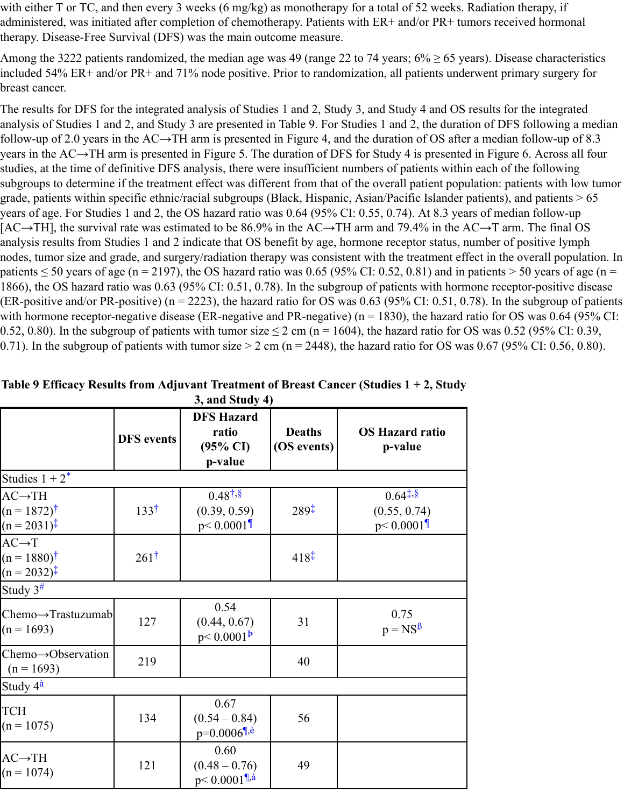with either T or TC, and then every 3 weeks (6 mg/kg) as monotherapy for a total of 52 weeks. Radiation therapy, if administered, was initiated after completion of chemotherapy. Patients with ER+ and/or PR+ tumors received hormonal therapy. Disease-Free Survival (DFS) was the main outcome measure.

Among the 3222 patients randomized, the median age was 49 (range 22 to 74 years;  $6\% \ge 65$  years). Disease characteristics included 54% ER+ and/or PR+ and 71% node positive. Prior to randomization, all patients underwent primary surgery for breast cancer.

The results for DFS for the integrated analysis of Studies 1 and 2, Study 3, and Study 4 and OS results for the integrated analysis of Studies 1 and 2, and Study 3 are presented in Table 9. For Studies 1 and 2, the duration of DFS following a median follow-up of 2.0 years in the AC→TH arm is presented in Figure 4, and the duration of OS after a median follow-up of 8.3 years in the AC→TH arm is presented in Figure 5. The duration of DFS for Study 4 is presented in Figure 6. Across all four studies, at the time of definitive DFS analysis, there were insufficient numbers of patients within each of the following subgroups to determine if the treatment effect was different from that of the overall patient population: patients with low tumor grade, patients within specific ethnic/racial subgroups (Black, Hispanic, Asian/Pacific Islander patients), and patients > 65 years of age. For Studies 1 and 2, the OS hazard ratio was 0.64 (95% CI: 0.55, 0.74). At 8.3 years of median follow-up [AC→TH], the survival rate was estimated to be 86.9% in the AC→TH arm and 79.4% in the AC→T arm. The final OS analysis results from Studies 1 and 2 indicate that OS benefit by age, hormone receptor status, number of positive lymph nodes, tumor size and grade, and surgery/radiation therapy was consistent with the treatment effect in the overall population. In patients  $\leq 50$  years of age (n = 2197), the OS hazard ratio was 0.65 (95% CI: 0.52, 0.81) and in patients > 50 years of age (n = 1866), the OS hazard ratio was 0.63 (95% CI: 0.51, 0.78). In the subgroup of patients with hormone receptor-positive disease (ER-positive and/or PR-positive) (n = 2223), the hazard ratio for OS was 0.63 (95% CI: 0.51, 0.78). In the subgroup of patients with hormone receptor-negative disease (ER-negative and PR-negative) (n = 1830), the hazard ratio for OS was 0.64 (95% CI: 0.52, 0.80). In the subgroup of patients with tumor size  $\leq 2$  cm (n = 1604), the hazard ratio for OS was 0.52 (95% CI: 0.39, 0.71). In the subgroup of patients with tumor size  $> 2$  cm (n = 2448), the hazard ratio for OS was 0.67 (95% CI: 0.56, 0.80).

|                                                                          |                   | v, anu stuuy                                                                                   |                              |                                                                   |
|--------------------------------------------------------------------------|-------------------|------------------------------------------------------------------------------------------------|------------------------------|-------------------------------------------------------------------|
|                                                                          | <b>DFS</b> events | <b>DFS Hazard</b><br>ratio<br>$(95\% \text{ CI})$<br>p-value                                   | <b>Deaths</b><br>(OS events) | <b>OS Hazard ratio</b><br>p-value                                 |
| Studies $1 + 2^*$                                                        |                   |                                                                                                |                              |                                                                   |
| $AC \rightarrow TH$<br>$(n = 1872)^{\dagger}$<br>$(n = 2031)^{\ddagger}$ | $133^{\dagger}$   | $0.48^{\dagger}$ .<br>(0.39, 0.59)<br>$p < 0.0001$ <sup>T</sup>                                | $289^{\ddagger}$             | $0.64^{\ddagger,\S}$<br>(0.55, 0.74)<br>$p < 0.0001$ <sup>1</sup> |
| $AC \rightarrow T$<br>$(n = 1880)^{\dagger}$<br>$(n = 2032)^{\ddagger}$  | $261^{\dagger}$   |                                                                                                | $418^{\ddagger}$             |                                                                   |
| Study $3^{\#}$                                                           |                   |                                                                                                |                              |                                                                   |
| $Chemo \rightarrow Trastuzumab$<br>$(n = 1693)$                          | 127               | 0.54<br>(0.44, 0.67)<br>$p < 0.0001^{\bar{P}}$                                                 | 31                           | 0.75<br>$p = NS^{\beta}$                                          |
| Chemo->Observation<br>$(n = 1693)$                                       | 219               |                                                                                                | 40                           |                                                                   |
| Study 4 <sup>à</sup>                                                     |                   |                                                                                                |                              |                                                                   |
| <b>TCH</b><br>$(n = 1075)$                                               | 134               | 0.67<br>$(0.54 - 0.84)$<br>$p=0.0006$ <sup>[<math>\ddot{\ }</math>,<math>\dot{e}</math>]</sup> | 56                           |                                                                   |
| $AC \rightarrow TH$<br>$(n = 1074)$                                      | 121               | 0.60<br>$(0.48 - 0.76)$<br>$p < 0.0001$ <sup>[[,<math>\dot{a}</math>]</sup>                    | 49                           |                                                                   |

**Table 9 Efficacy Results from Adjuvant Treatment of Breast Cancer (Studies 1 + 2, Study 3, and Study 4)**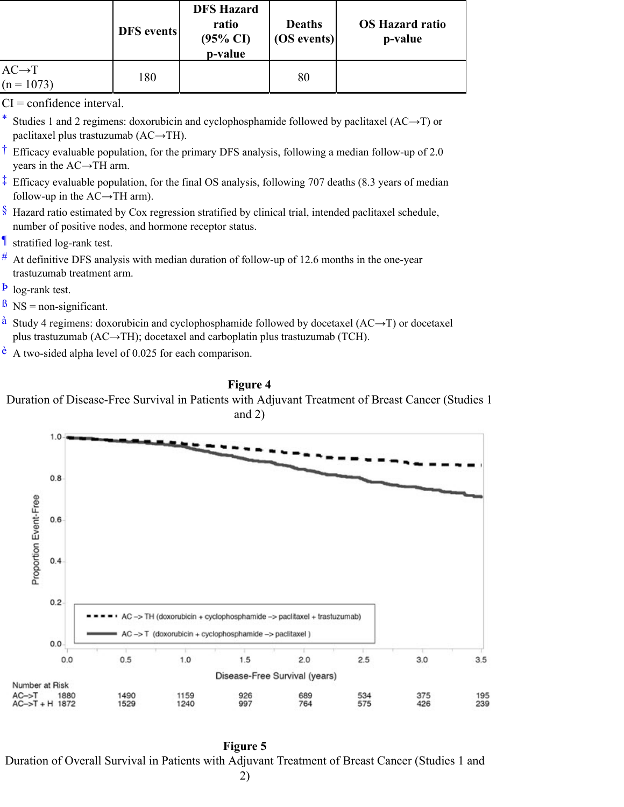|                                    | <b>DFS</b> events | <b>DFS Hazard</b><br>ratio<br>$(95\% \text{ CI})$<br>p-value | <b>Deaths</b><br>(OS events) | <b>OS Hazard ratio</b><br>p-value |
|------------------------------------|-------------------|--------------------------------------------------------------|------------------------------|-----------------------------------|
| $AC \rightarrow T$<br>$(n = 1073)$ | 180               |                                                              | 80                           |                                   |

 $CI =$ confidence interval.

- \* Studies 1 and 2 regimens: doxorubicin and cyclophosphamide followed by paclitaxel (AC→T) or paclitaxel plus trastuzumab (AC→TH).
- † Efficacy evaluable population, for the primary DFS analysis, following a median follow-up of 2.0 years in the AC→TH arm.
- ‡ Efficacy evaluable population, for the final OS analysis, following 707 deaths (8.3 years of median follow-up in the  $AC \rightarrow TH$  arm).
- § Hazard ratio estimated by Cox regression stratified by clinical trial, intended paclitaxel schedule, number of positive nodes, and hormone receptor status.
- ¶ stratified log-rank test.
- $#$  At definitive DFS analysis with median duration of follow-up of 12.6 months in the one-year trastuzumab treatment arm.
- Þ log-rank test.
- $\beta$  NS = non-significant.
- $\hat{a}$  Study 4 regimens: doxorubicin and cyclophosphamide followed by docetaxel (AC→T) or docetaxel plus trastuzumab (AC→TH); docetaxel and carboplatin plus trastuzumab (TCH).
- $\dot{e}$  A two-sided alpha level of 0.025 for each comparison.

#### **Figure 4**

Duration of Disease-Free Survival in Patients with Adjuvant Treatment of Breast Cancer (Studies 1 and 2)



**Figure 5** Duration of Overall Survival in Patients with Adjuvant Treatment of Breast Cancer (Studies 1 and 2)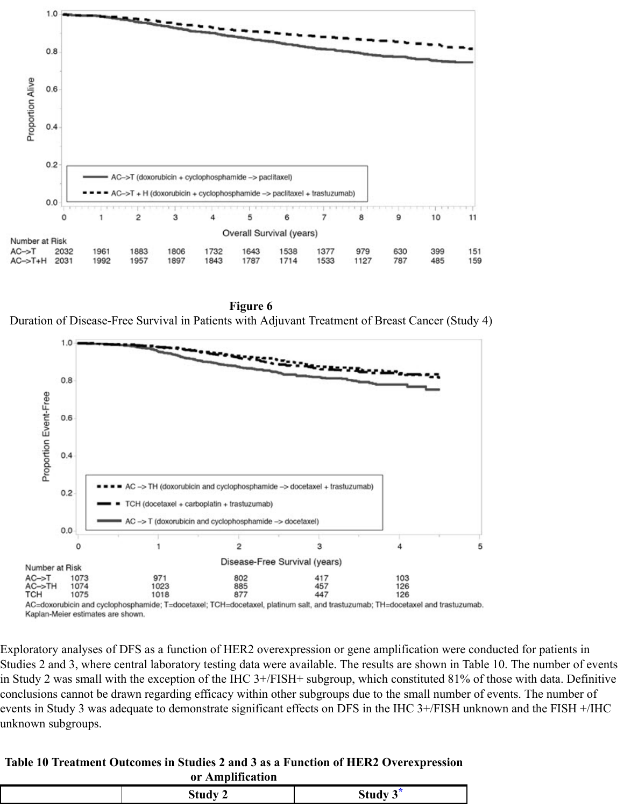

**Figure 6** Duration of Disease-Free Survival in Patients with Adjuvant Treatment of Breast Cancer (Study 4)



AC=doxorubicin and cyclophosphamide; T=docetaxel; TCH=docetaxel, platinum salt, and trastuzumab; TH=docetaxel and trastuzumab. Kaplan-Meier estimates are shown.

Exploratory analyses of DFS as a function of HER2 overexpression or gene amplification were conducted for patients in Studies 2 and 3, where central laboratory testing data were available. The results are shown in Table 10. The number of events in Study 2 was small with the exception of the IHC 3+/FISH+ subgroup, which constituted 81% of those with data. Definitive conclusions cannot be drawn regarding efficacy within other subgroups due to the small number of events. The number of events in Study 3 was adequate to demonstrate significant effects on DFS in the IHC 3+/FISH unknown and the FISH +/IHC unknown subgroups.

#### **Table 10 Treatment Outcomes in Studies 2 and 3 as a Function of HER2 Overexpression or Amplification**

| <br>$\overline{\phantom{0}}$ |  |
|------------------------------|--|
|                              |  |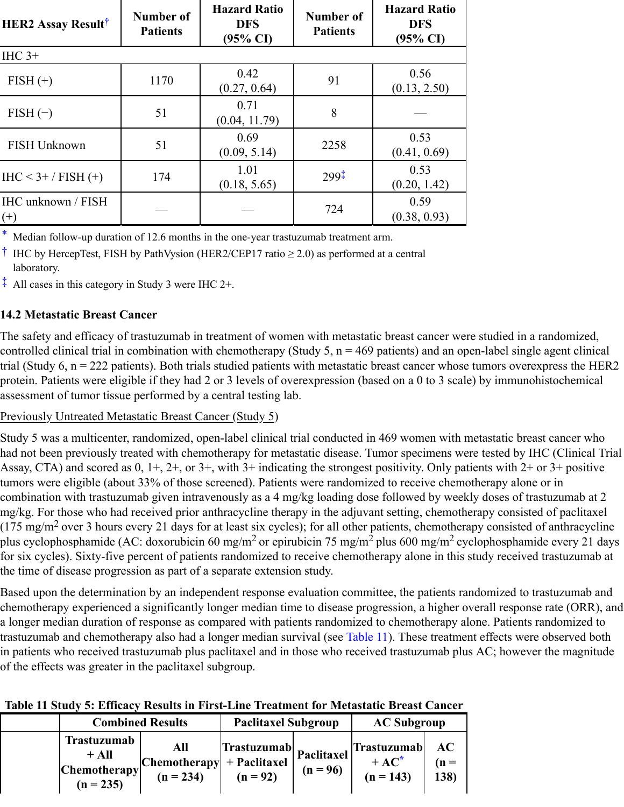| <b>HER2 Assay Result<sup>†</sup></b> | <b>Number of</b><br><b>Patients</b> | <b>Hazard Ratio</b><br><b>DFS</b><br>$(95\% \text{ CI})$ | Number of<br><b>Patients</b> | <b>Hazard Ratio</b><br><b>DFS</b><br>$(95\% \text{ CI})$ |
|--------------------------------------|-------------------------------------|----------------------------------------------------------|------------------------------|----------------------------------------------------------|
| $H C$ 3+                             |                                     |                                                          |                              |                                                          |
| $FISH (+)$                           | 1170                                | 0.42<br>(0.27, 0.64)                                     | 91                           | 0.56<br>(0.13, 2.50)                                     |
| $FISH(-)$                            | 51                                  | 0.71<br>(0.04, 11.79)                                    | 8                            |                                                          |
| FISH Unknown                         | 51                                  | 0.69<br>(0.09, 5.14)                                     | 2258                         | 0.53<br>(0.41, 0.69)                                     |
| $HIC < 3+ / FISH (+)$                | 174                                 | 1.01<br>(0.18, 5.65)                                     | $299*$                       | 0.53<br>(0.20, 1.42)                                     |
| IHC unknown / FISH<br>$(+)$          |                                     |                                                          | 724                          | 0.59<br>(0.38, 0.93)                                     |

\* Median follow-up duration of 12.6 months in the one-year trastuzumab treatment arm.

<sup>†</sup> IHC by HercepTest, FISH by PathVysion (HER2/CEP17 ratio  $\geq$  2.0) as performed at a central laboratory.

‡ All cases in this category in Study 3 were IHC 2+.

#### **14.2 Metastatic Breast Cancer**

The safety and efficacy of trastuzumab in treatment of women with metastatic breast cancer were studied in a randomized, controlled clinical trial in combination with chemotherapy (Study 5,  $n = 469$  patients) and an open-label single agent clinical trial (Study 6, n = 222 patients). Both trials studied patients with metastatic breast cancer whose tumors overexpress the HER2 protein. Patients were eligible if they had 2 or 3 levels of overexpression (based on a 0 to 3 scale) by immunohistochemical assessment of tumor tissue performed by a central testing lab.

### Previously Untreated Metastatic Breast Cancer (Study 5)

Study 5 was a multicenter, randomized, open-label clinical trial conducted in 469 women with metastatic breast cancer who had not been previously treated with chemotherapy for metastatic disease. Tumor specimens were tested by IHC (Clinical Trial Assay, CTA) and scored as 0, 1+, 2+, or 3+, with 3+ indicating the strongest positivity. Only patients with 2+ or 3+ positive tumors were eligible (about 33% of those screened). Patients were randomized to receive chemotherapy alone or in combination with trastuzumab given intravenously as a 4 mg/kg loading dose followed by weekly doses of trastuzumab at 2 mg/kg. For those who had received prior anthracycline therapy in the adjuvant setting, chemotherapy consisted of paclitaxel  $(175 \text{ mg/m}^2)$  over 3 hours every 21 days for at least six cycles); for all other patients, chemotherapy consisted of anthracycline plus cyclophosphamide (AC: doxorubicin 60 mg/m<sup>2</sup> or epirubicin 75 mg/m<sup>2</sup> plus 600 mg/m<sup>2</sup> cyclophosphamide every 21 days for six cycles). Sixty-five percent of patients randomized to receive chemotherapy alone in this study received trastuzumab at the time of disease progression as part of a separate extension study.

Based upon the determination by an independent response evaluation committee, the patients randomized to trastuzumab and chemotherapy experienced a significantly longer median time to disease progression, a higher overall response rate (ORR), and a longer median duration of response as compared with patients randomized to chemotherapy alone. Patients randomized to trastuzumab and chemotherapy also had a longer median survival (see Table 11). These treatment effects were observed both in patients who received trastuzumab plus paclitaxel and in those who received trastuzumab plus AC; however the magnitude of the effects was greater in the paclitaxel subgroup.

|                                                              | <b>Combined Results</b>                             | <b>Paclitaxel Subgroup</b>                  |            | <b>AC Subgroup</b>                            |                      |
|--------------------------------------------------------------|-----------------------------------------------------|---------------------------------------------|------------|-----------------------------------------------|----------------------|
| Trastuzumab<br>$+ All$<br><b>Chemotherapy</b><br>$(n = 235)$ | All<br>$ Chemotherapy  + Paclitaxel$<br>$(n = 234)$ | Trastuzumab <br> Paclitaxel  <br>$(n = 92)$ | $(n = 96)$ | <b>Trastuzumab</b><br>$+ AC^*$<br>$(n = 143)$ | AC<br>$(n =$<br>138) |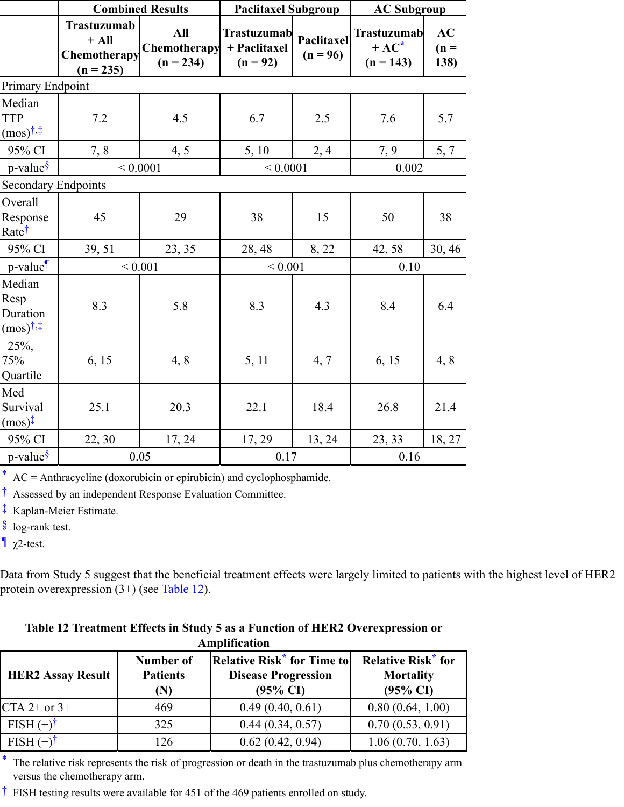|                                                             | <b>Combined Results</b>                                      |                                    | <b>Paclitaxel Subgroup</b>                |                          | <b>AC Subgroup</b>                            |                      |
|-------------------------------------------------------------|--------------------------------------------------------------|------------------------------------|-------------------------------------------|--------------------------|-----------------------------------------------|----------------------|
|                                                             | <b>Trastuzumab</b><br>$+ All$<br>Chemotherapy<br>$(n = 235)$ | All<br>Chemotherapy<br>$(n = 234)$ | Trastuzumab<br>+ Paclitaxel<br>$(n = 92)$ | Paclitaxel<br>$(n = 96)$ | <b>Trastuzumab</b><br>$+ AC^*$<br>$(n = 143)$ | AC<br>$(n =$<br>138) |
| Primary Endpoint                                            |                                                              |                                    |                                           |                          |                                               |                      |
| Median<br><b>TTP</b><br>$(mos)^{\dagger,\ddagger}$          | 7.2                                                          | 4.5                                | 6.7                                       | 2.5                      | 7.6                                           | 5.7                  |
| 95% CI                                                      | 7,8                                                          | 4, 5                               | 5, 10                                     | 2, 4                     | 7, 9                                          | 5, 7                 |
| p-value <sup>§</sup>                                        |                                                              | ${}< 0.0001$                       | ${}< 0.0001$                              |                          | 0.002                                         |                      |
| <b>Secondary Endpoints</b>                                  |                                                              |                                    |                                           |                          |                                               |                      |
| Overall<br>Response<br>Rate <sup>†</sup>                    | 45                                                           | 29                                 | 38                                        | 15                       | 50                                            | 38                   |
| 95% CI                                                      | 39, 51                                                       | 23, 35                             | 28, 48                                    | 8, 22                    | 42, 58                                        | 30, 46               |
| p-value                                                     | ${}< 0.001$                                                  |                                    | ${}< 0.001$                               |                          | 0.10                                          |                      |
| Median<br>Resp<br>Duration<br>$(mos)$ <sup>†,‡</sup>        | 8.3                                                          | 5.8                                | 8.3                                       | 4.3                      | 8.4                                           | 6.4                  |
| 25%,<br>75%<br>Quartile                                     | 6, 15                                                        | 4,8                                | 5, 11                                     | 4,7                      | 6, 15                                         | 4,8                  |
| Med<br>Survival<br>$(mos)$ <sup><math>\ddagger</math></sup> | 25.1                                                         | 20.3                               | 22.1                                      | 18.4                     | 26.8                                          | 21.4                 |
| 95% CI                                                      | 22, 30                                                       | 17, 24                             | 17, 29                                    | 13, 24                   | 23, 33                                        | 18, 27               |
| $p$ -values                                                 |                                                              | 0.05                               | 0.17                                      |                          | 0.16                                          |                      |

\* AC = Anthracycline (doxorubicin or epirubicin) and cyclophosphamide.

† Assessed by an independent Response Evaluation Committee.

‡ Kaplan-Meier Estimate.

§ log-rank test.

 $\sqrt{\ }$   $\chi$ 2-test.

Data from Study 5 suggest that the beneficial treatment effects were largely limited to patients with the highest level of HER2 protein overexpression  $(3+)$  (see Table 12).

**Table 12 Treatment Effects in Study 5 as a Function of HER2 Overexpression or Amplification**

| <b>HER2 Assay Result</b> | Number of<br><b>Patients</b><br>(N) | <b>Relative Risk<sup>*</sup></b> for Time to<br><b>Disease Progression</b><br>$(95\% \text{ CI})$ | <b>Relative Risk*</b> for<br><b>Mortality</b><br>$(95\% \text{ CI})$ |  |  |
|--------------------------|-------------------------------------|---------------------------------------------------------------------------------------------------|----------------------------------------------------------------------|--|--|
| $CTA 2+ or 3+$           | 469                                 | 0.49(0.40, 0.61)                                                                                  | 0.80(0.64, 1.00)                                                     |  |  |
| FISH $(+)^\dagger$       | 325                                 | 0.44(0.34, 0.57)                                                                                  | 0.70(0.53, 0.91)                                                     |  |  |
| $FISH(-)$                | 126                                 | 0.62(0.42, 0.94)                                                                                  | 1.06(0.70, 1.63)                                                     |  |  |

\* The relative risk represents the risk of progression or death in the trastuzumab plus chemotherapy arm versus the chemotherapy arm.

† FISH testing results were available for 451 of the 469 patients enrolled on study.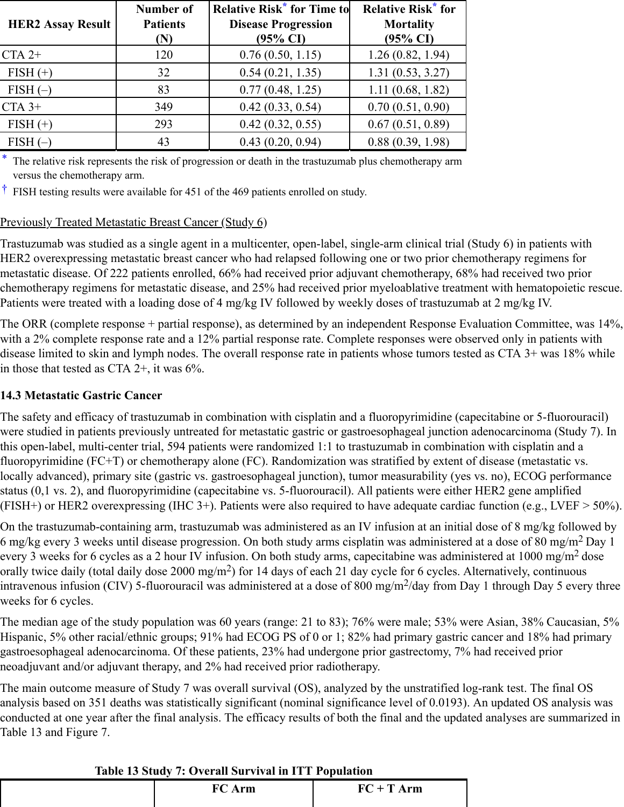| <b>HER2 Assay Result</b> | Number of<br><b>Patients</b><br>(N) | <b>Relative Risk<sup>*</sup></b> for Time to<br><b>Disease Progression</b><br>$(95\% \text{ CI})$ | <b>Relative Risk*</b> for<br><b>Mortality</b><br>$(95\% \text{ CI})$ |
|--------------------------|-------------------------------------|---------------------------------------------------------------------------------------------------|----------------------------------------------------------------------|
| $CTA 2+$                 | 120                                 | 0.76(0.50, 1.15)                                                                                  | 1.26(0.82, 1.94)                                                     |
| $FISH (+)$               | 32                                  | 0.54(0.21, 1.35)                                                                                  | 1.31(0.53, 3.27)                                                     |
| $FISH(-)$                | 83                                  | 0.77(0.48, 1.25)                                                                                  | 1.11(0.68, 1.82)                                                     |
| $CTA$ 3+                 | 349                                 | 0.42(0.33, 0.54)                                                                                  | 0.70(0.51, 0.90)                                                     |
| $FISH (+)$               | 293                                 | 0.42(0.32, 0.55)                                                                                  | 0.67(0.51, 0.89)                                                     |
| $FISH(-)$                | 43                                  | 0.43(0.20, 0.94)                                                                                  | 0.88(0.39, 1.98)                                                     |
|                          |                                     |                                                                                                   |                                                                      |

\* The relative risk represents the risk of progression or death in the trastuzumab plus chemotherapy arm versus the chemotherapy arm.

† FISH testing results were available for 451 of the 469 patients enrolled on study.

# Previously Treated Metastatic Breast Cancer (Study 6)

Trastuzumab was studied as a single agent in a multicenter, open-label, single-arm clinical trial (Study 6) in patients with HER2 overexpressing metastatic breast cancer who had relapsed following one or two prior chemotherapy regimens for metastatic disease. Of 222 patients enrolled, 66% had received prior adjuvant chemotherapy, 68% had received two prior chemotherapy regimens for metastatic disease, and 25% had received prior myeloablative treatment with hematopoietic rescue. Patients were treated with a loading dose of 4 mg/kg IV followed by weekly doses of trastuzumab at 2 mg/kg IV.

The ORR (complete response + partial response), as determined by an independent Response Evaluation Committee, was 14%, with a 2% complete response rate and a 12% partial response rate. Complete responses were observed only in patients with disease limited to skin and lymph nodes. The overall response rate in patients whose tumors tested as CTA 3+ was 18% while in those that tested as CTA  $2+$ , it was  $6\%$ .

# **14.3 Metastatic Gastric Cancer**

The safety and efficacy of trastuzumab in combination with cisplatin and a fluoropyrimidine (capecitabine or 5-fluorouracil) were studied in patients previously untreated for metastatic gastric or gastroesophageal junction adenocarcinoma (Study 7). In this open-label, multi-center trial, 594 patients were randomized 1:1 to trastuzumab in combination with cisplatin and a fluoropyrimidine (FC+T) or chemotherapy alone (FC). Randomization was stratified by extent of disease (metastatic vs. locally advanced), primary site (gastric vs. gastroesophageal junction), tumor measurability (yes vs. no), ECOG performance status (0,1 vs. 2), and fluoropyrimidine (capecitabine vs. 5-fluorouracil). All patients were either HER2 gene amplified (FISH+) or HER2 overexpressing (IHC 3+). Patients were also required to have adequate cardiac function (e.g., LVEF  $> 50\%$ ).

On the trastuzumab-containing arm, trastuzumab was administered as an IV infusion at an initial dose of 8 mg/kg followed by 6 mg/kg every 3 weeks until disease progression. On both study arms cisplatin was administered at a dose of 80 mg/m<sup>2</sup> Day 1 every 3 weeks for 6 cycles as a 2 hour IV infusion. On both study arms, capecitabine was administered at 1000 mg/m<sup>2</sup> dose orally twice daily (total daily dose 2000 mg/m<sup>2</sup>) for 14 days of each 21 day cycle for 6 cycles. Alternatively, continuous intravenous infusion (CIV) 5-fluorouracil was administered at a dose of 800 mg/m<sup>2</sup>/day from Day 1 through Day 5 every three weeks for 6 cycles.

The median age of the study population was 60 years (range: 21 to 83); 76% were male; 53% were Asian, 38% Caucasian, 5% Hispanic, 5% other racial/ethnic groups; 91% had ECOG PS of 0 or 1; 82% had primary gastric cancer and 18% had primary gastroesophageal adenocarcinoma. Of these patients, 23% had undergone prior gastrectomy, 7% had received prior neoadjuvant and/or adjuvant therapy, and 2% had received prior radiotherapy.

The main outcome measure of Study 7 was overall survival (OS), analyzed by the unstratified log-rank test. The final OS analysis based on 351 deaths was statistically significant (nominal significance level of 0.0193). An updated OS analysis was conducted at one year after the final analysis. The efficacy results of both the final and the updated analyses are summarized in Table 13 and Figure 7.

**Table 13 Study 7: Overall Survival in ITT Population**

| Table To bluu t is O'teran bur treat in ITT Topulation |     |     |  |  |  |
|--------------------------------------------------------|-----|-----|--|--|--|
|                                                        | Arm | Arm |  |  |  |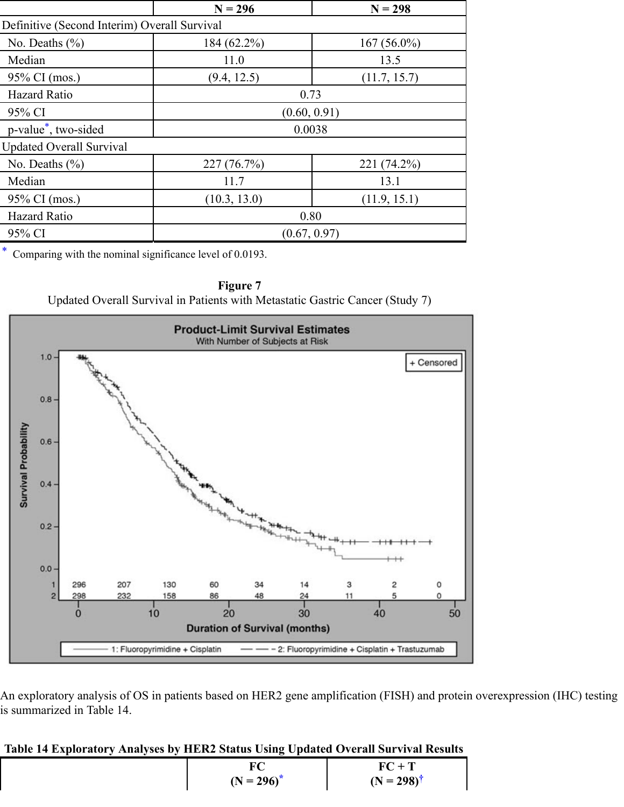|                                              | $N = 296$    | $N = 298$     |  |  |
|----------------------------------------------|--------------|---------------|--|--|
| Definitive (Second Interim) Overall Survival |              |               |  |  |
| No. Deaths $(\% )$                           | 184 (62.2%)  | $167(56.0\%)$ |  |  |
| Median                                       | 11.0         | 13.5          |  |  |
| 95% CI (mos.)                                | (9.4, 12.5)  | (11.7, 15.7)  |  |  |
| <b>Hazard Ratio</b>                          | 0.73         |               |  |  |
| 95% CI                                       | (0.60, 0.91) |               |  |  |
| p-value <sup>*</sup> , two-sided             | 0.0038       |               |  |  |
| <b>Updated Overall Survival</b>              |              |               |  |  |
| No. Deaths $(\% )$                           | 227 (76.7%)  | 221 (74.2%)   |  |  |
| Median                                       | 11.7         | 13.1          |  |  |
| 95% CI (mos.)                                | (10.3, 13.0) | (11.9, 15.1)  |  |  |
| <b>Hazard Ratio</b>                          | 0.80         |               |  |  |
| 95% CI                                       | (0.67, 0.97) |               |  |  |

\* Comparing with the nominal significance level of 0.0193.

> **Figure 7** Updated Overall Survival in Patients with Metastatic Gastric Cancer (Study 7)



An exploratory analysis of OS in patients based on HER2 gene amplification (FISH) and protein overexpression (IHC) testing is summarized in Table 14.

| Table 14 Exploratory Analyses by HER2 Status Using Updated Overall Survival Results |  |  |  |
|-------------------------------------------------------------------------------------|--|--|--|
|                                                                                     |  |  |  |

|                 | $FC + T$              |
|-----------------|-----------------------|
| $(N = 296)^{*}$ | $(N = 298)^{\dagger}$ |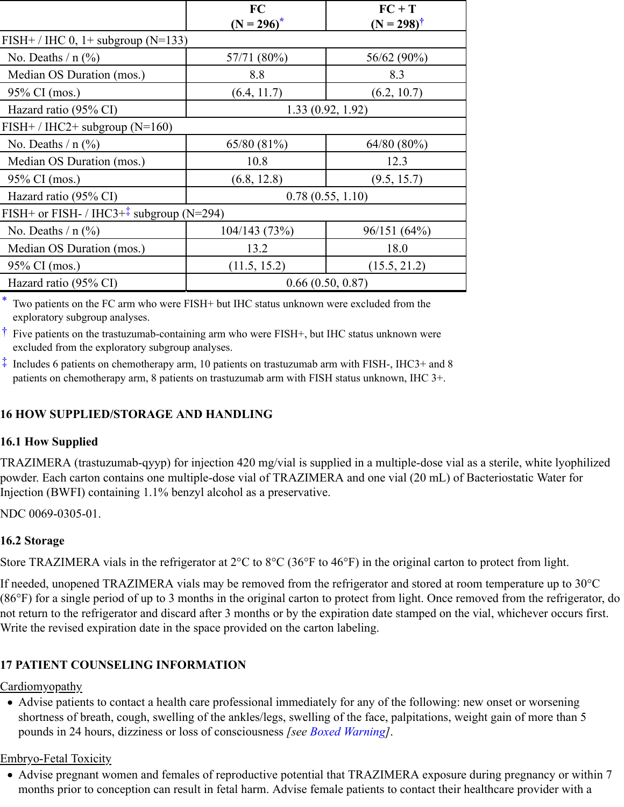|                                                    | <b>FC</b>        | $FC + T$              |
|----------------------------------------------------|------------------|-----------------------|
|                                                    | $(N = 296)^{*}$  | $(N = 298)^{\dagger}$ |
| FISH+ / IHC 0, $1+$ subgroup (N=133)               |                  |                       |
| No. Deaths $/$ n $(\%)$                            | 57/71 (80%)      | 56/62 (90%)           |
| Median OS Duration (mos.)                          | 8.8              | 8.3                   |
| 95% CI (mos.)                                      | (6.4, 11.7)      | (6.2, 10.7)           |
| Hazard ratio (95% CI)                              | 1.33(0.92, 1.92) |                       |
| $FISH+ / IHC2+ subgroup (N=160)$                   |                  |                       |
| No. Deaths $/$ n $(\%)$                            | 65/80 (81%)      | $64/80(80\%)$         |
| Median OS Duration (mos.)                          | 10.8             | 12.3                  |
| 95% CI (mos.)                                      | (6.8, 12.8)      | (9.5, 15.7)           |
| Hazard ratio (95% CI)                              | 0.78(0.55, 1.10) |                       |
| FISH+ or FISH- / IHC3+ $\ddagger$ subgroup (N=294) |                  |                       |
| No. Deaths $/$ n $(\%)$                            | 104/143 (73%)    | 96/151(64%)           |
| Median OS Duration (mos.)                          | 13.2             | 18.0                  |
| 95% CI (mos.)                                      | (11.5, 15.2)     | (15.5, 21.2)          |
| Hazard ratio (95% CI)                              | 0.66(0.50, 0.87) |                       |

\* Two patients on the FC arm who were FISH+ but IHC status unknown were excluded from the exploratory subgroup analyses.

† Five patients on the trastuzumab-containing arm who were FISH+, but IHC status unknown were excluded from the exploratory subgroup analyses.

‡ Includes 6 patients on chemotherapy arm, 10 patients on trastuzumab arm with FISH-, IHC3+ and 8 patients on chemotherapy arm, 8 patients on trastuzumab arm with FISH status unknown, IHC 3+.

# **16 HOW SUPPLIED/STORAGE AND HANDLING**

### **16.1 How Supplied**

TRAZIMERA (trastuzumab-qyyp) for injection 420 mg/vial is supplied in a multiple-dose vial as a sterile, white lyophilized powder. Each carton contains one multiple-dose vial of TRAZIMERA and one vial (20 mL) of Bacteriostatic Water for Injection (BWFI) containing 1.1% benzyl alcohol as a preservative.

NDC 0069-0305-01.

### **16.2 Storage**

Store TRAZIMERA vials in the refrigerator at 2°C to 8°C (36°F to 46°F) in the original carton to protect from light.

If needed, unopened TRAZIMERA vials may be removed from the refrigerator and stored at room temperature up to 30°C (86°F) for a single period of up to 3 months in the original carton to protect from light. Once removed from the refrigerator, do not return to the refrigerator and discard after 3 months or by the expiration date stamped on the vial, whichever occurs first. Write the revised expiration date in the space provided on the carton labeling.

# **17 PATIENT COUNSELING INFORMATION**

### Cardiomyopathy

Advise patients to contact a health care professional immediately for any of the following: new onset or worsening shortness of breath, cough, swelling of the ankles/legs, swelling of the face, palpitations, weight gain of more than 5 pounds in 24 hours, dizziness or loss of consciousness *[see Boxed Warning]*.

### Embryo-Fetal Toxicity

Advise pregnant women and females of reproductive potential that TRAZIMERA exposure during pregnancy or within 7 months prior to conception can result in fetal harm. Advise female patients to contact their healthcare provider with a